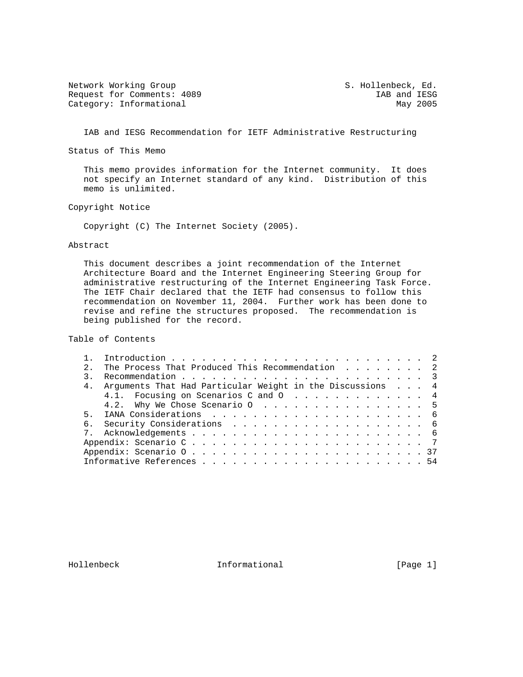Network Working Group S. Hollenbeck, Ed. Request for Comments: 4089 IAB and IESG Category: Informational Assessment Category: Informational Assessment Category: Informational Assessment Category: Informational Assessment Category: Informational Assessment Categor Category: Informational

IAB and IESG Recommendation for IETF Administrative Restructuring

Status of This Memo

 This memo provides information for the Internet community. It does not specify an Internet standard of any kind. Distribution of this memo is unlimited.

Copyright Notice

Copyright (C) The Internet Society (2005).

### Abstract

 This document describes a joint recommendation of the Internet Architecture Board and the Internet Engineering Steering Group for administrative restructuring of the Internet Engineering Task Force. The IETF Chair declared that the IETF had consensus to follow this recommendation on November 11, 2004. Further work has been done to revise and refine the structures proposed. The recommendation is being published for the record.

Table of Contents

| 2. | The Process That Produced This Recommendation 2 |                                                                                                                                        |
|----|-------------------------------------------------|----------------------------------------------------------------------------------------------------------------------------------------|
|    |                                                 |                                                                                                                                        |
|    |                                                 |                                                                                                                                        |
|    |                                                 |                                                                                                                                        |
|    |                                                 |                                                                                                                                        |
|    |                                                 |                                                                                                                                        |
|    |                                                 |                                                                                                                                        |
|    |                                                 |                                                                                                                                        |
|    |                                                 |                                                                                                                                        |
|    |                                                 |                                                                                                                                        |
|    |                                                 |                                                                                                                                        |
|    |                                                 | 4. Arguments That Had Particular Weight in the Discussions 4<br>4.1. Focusing on Scenarios C and O 4<br>4.2. Why We Chose Scenario 0 5 |

Hollenbeck Informational [Page 1]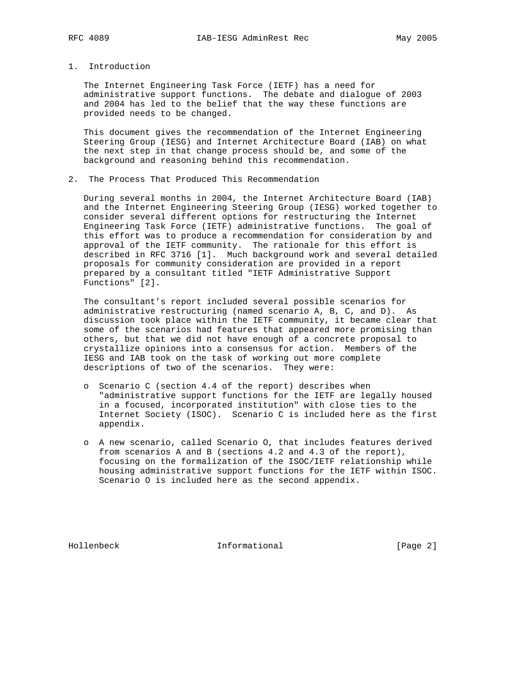# 1. Introduction

 The Internet Engineering Task Force (IETF) has a need for administrative support functions. The debate and dialogue of 2003 and 2004 has led to the belief that the way these functions are provided needs to be changed.

 This document gives the recommendation of the Internet Engineering Steering Group (IESG) and Internet Architecture Board (IAB) on what the next step in that change process should be, and some of the background and reasoning behind this recommendation.

2. The Process That Produced This Recommendation

 During several months in 2004, the Internet Architecture Board (IAB) and the Internet Engineering Steering Group (IESG) worked together to consider several different options for restructuring the Internet Engineering Task Force (IETF) administrative functions. The goal of this effort was to produce a recommendation for consideration by and approval of the IETF community. The rationale for this effort is described in RFC 3716 [1]. Much background work and several detailed proposals for community consideration are provided in a report prepared by a consultant titled "IETF Administrative Support Functions" [2].

 The consultant's report included several possible scenarios for administrative restructuring (named scenario A, B, C, and D). As discussion took place within the IETF community, it became clear that some of the scenarios had features that appeared more promising than others, but that we did not have enough of a concrete proposal to crystallize opinions into a consensus for action. Members of the IESG and IAB took on the task of working out more complete descriptions of two of the scenarios. They were:

- o Scenario C (section 4.4 of the report) describes when "administrative support functions for the IETF are legally housed in a focused, incorporated institution" with close ties to the Internet Society (ISOC). Scenario C is included here as the first appendix.
- o A new scenario, called Scenario O, that includes features derived from scenarios A and B (sections 4.2 and 4.3 of the report), focusing on the formalization of the ISOC/IETF relationship while housing administrative support functions for the IETF within ISOC. Scenario O is included here as the second appendix.

Hollenbeck Informational [Page 2]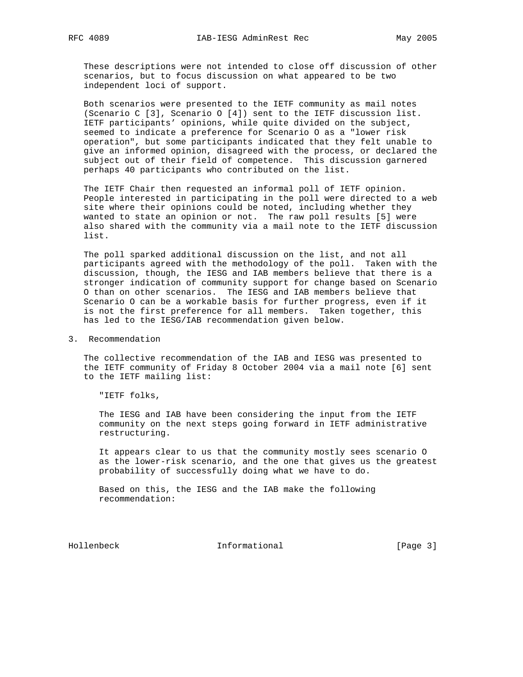These descriptions were not intended to close off discussion of other scenarios, but to focus discussion on what appeared to be two independent loci of support.

 Both scenarios were presented to the IETF community as mail notes (Scenario C [3], Scenario O [4]) sent to the IETF discussion list. IETF participants' opinions, while quite divided on the subject, seemed to indicate a preference for Scenario O as a "lower risk operation", but some participants indicated that they felt unable to give an informed opinion, disagreed with the process, or declared the subject out of their field of competence. This discussion garnered perhaps 40 participants who contributed on the list.

 The IETF Chair then requested an informal poll of IETF opinion. People interested in participating in the poll were directed to a web site where their opinions could be noted, including whether they wanted to state an opinion or not. The raw poll results [5] were also shared with the community via a mail note to the IETF discussion list.

 The poll sparked additional discussion on the list, and not all participants agreed with the methodology of the poll. Taken with the discussion, though, the IESG and IAB members believe that there is a stronger indication of community support for change based on Scenario O than on other scenarios. The IESG and IAB members believe that Scenario O can be a workable basis for further progress, even if it is not the first preference for all members. Taken together, this has led to the IESG/IAB recommendation given below.

3. Recommendation

 The collective recommendation of the IAB and IESG was presented to the IETF community of Friday 8 October 2004 via a mail note [6] sent to the IETF mailing list:

"IETF folks,

 The IESG and IAB have been considering the input from the IETF community on the next steps going forward in IETF administrative restructuring.

 It appears clear to us that the community mostly sees scenario O as the lower-risk scenario, and the one that gives us the greatest probability of successfully doing what we have to do.

 Based on this, the IESG and the IAB make the following recommendation:

Hollenbeck Informational [Page 3]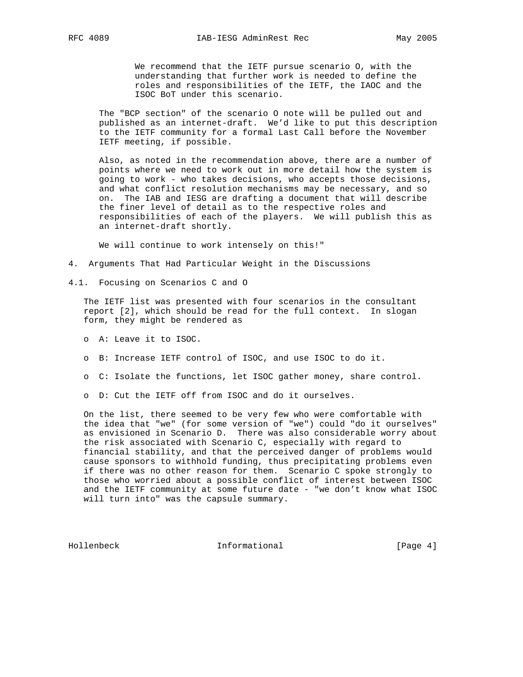We recommend that the IETF pursue scenario O, with the understanding that further work is needed to define the roles and responsibilities of the IETF, the IAOC and the ISOC BoT under this scenario.

 The "BCP section" of the scenario O note will be pulled out and published as an internet-draft. We'd like to put this description to the IETF community for a formal Last Call before the November IETF meeting, if possible.

 Also, as noted in the recommendation above, there are a number of points where we need to work out in more detail how the system is going to work - who takes decisions, who accepts those decisions, and what conflict resolution mechanisms may be necessary, and so on. The IAB and IESG are drafting a document that will describe the finer level of detail as to the respective roles and responsibilities of each of the players. We will publish this as an internet-draft shortly.

We will continue to work intensely on this!"

- 4. Arguments That Had Particular Weight in the Discussions
- 4.1. Focusing on Scenarios C and O

 The IETF list was presented with four scenarios in the consultant report [2], which should be read for the full context. In slogan form, they might be rendered as

- o A: Leave it to ISOC.
- o B: Increase IETF control of ISOC, and use ISOC to do it.
- o C: Isolate the functions, let ISOC gather money, share control.
- o D: Cut the IETF off from ISOC and do it ourselves.

 On the list, there seemed to be very few who were comfortable with the idea that "we" (for some version of "we") could "do it ourselves" as envisioned in Scenario D. There was also considerable worry about the risk associated with Scenario C, especially with regard to financial stability, and that the perceived danger of problems would cause sponsors to withhold funding, thus precipitating problems even if there was no other reason for them. Scenario C spoke strongly to those who worried about a possible conflict of interest between ISOC and the IETF community at some future date - "we don't know what ISOC will turn into" was the capsule summary.

Hollenbeck Informational [Page 4]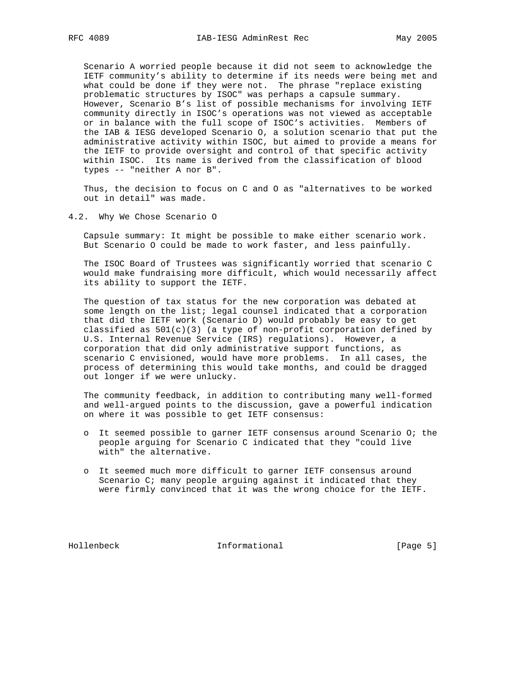Scenario A worried people because it did not seem to acknowledge the IETF community's ability to determine if its needs were being met and what could be done if they were not. The phrase "replace existing problematic structures by ISOC" was perhaps a capsule summary. However, Scenario B's list of possible mechanisms for involving IETF community directly in ISOC's operations was not viewed as acceptable or in balance with the full scope of ISOC's activities. Members of the IAB & IESG developed Scenario O, a solution scenario that put the administrative activity within ISOC, but aimed to provide a means for the IETF to provide oversight and control of that specific activity within ISOC. Its name is derived from the classification of blood types -- "neither A nor B".

 Thus, the decision to focus on C and O as "alternatives to be worked out in detail" was made.

4.2. Why We Chose Scenario O

 Capsule summary: It might be possible to make either scenario work. But Scenario O could be made to work faster, and less painfully.

 The ISOC Board of Trustees was significantly worried that scenario C would make fundraising more difficult, which would necessarily affect its ability to support the IETF.

 The question of tax status for the new corporation was debated at some length on the list; legal counsel indicated that a corporation that did the IETF work (Scenario D) would probably be easy to get classified as  $501(c)(3)$  (a type of non-profit corporation defined by U.S. Internal Revenue Service (IRS) regulations). However, a corporation that did only administrative support functions, as scenario C envisioned, would have more problems. In all cases, the process of determining this would take months, and could be dragged out longer if we were unlucky.

 The community feedback, in addition to contributing many well-formed and well-argued points to the discussion, gave a powerful indication on where it was possible to get IETF consensus:

- o It seemed possible to garner IETF consensus around Scenario O; the people arguing for Scenario C indicated that they "could live with" the alternative.
- o It seemed much more difficult to garner IETF consensus around Scenario C; many people arguing against it indicated that they were firmly convinced that it was the wrong choice for the IETF.

Hollenbeck Informational [Page 5]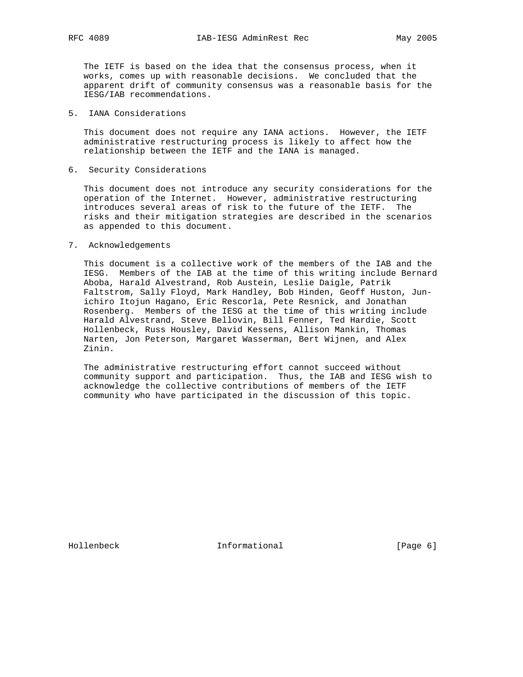The IETF is based on the idea that the consensus process, when it works, comes up with reasonable decisions. We concluded that the apparent drift of community consensus was a reasonable basis for the IESG/IAB recommendations.

## 5. IANA Considerations

 This document does not require any IANA actions. However, the IETF administrative restructuring process is likely to affect how the relationship between the IETF and the IANA is managed.

### 6. Security Considerations

 This document does not introduce any security considerations for the operation of the Internet. However, administrative restructuring introduces several areas of risk to the future of the IETF. The risks and their mitigation strategies are described in the scenarios as appended to this document.

#### 7. Acknowledgements

 This document is a collective work of the members of the IAB and the IESG. Members of the IAB at the time of this writing include Bernard Aboba, Harald Alvestrand, Rob Austein, Leslie Daigle, Patrik Faltstrom, Sally Floyd, Mark Handley, Bob Hinden, Geoff Huston, Jun ichiro Itojun Hagano, Eric Rescorla, Pete Resnick, and Jonathan Rosenberg. Members of the IESG at the time of this writing include Harald Alvestrand, Steve Bellovin, Bill Fenner, Ted Hardie, Scott Hollenbeck, Russ Housley, David Kessens, Allison Mankin, Thomas Narten, Jon Peterson, Margaret Wasserman, Bert Wijnen, and Alex Zinin.

 The administrative restructuring effort cannot succeed without community support and participation. Thus, the IAB and IESG wish to acknowledge the collective contributions of members of the IETF community who have participated in the discussion of this topic.

Hollenbeck **Informational Informational** [Page 6]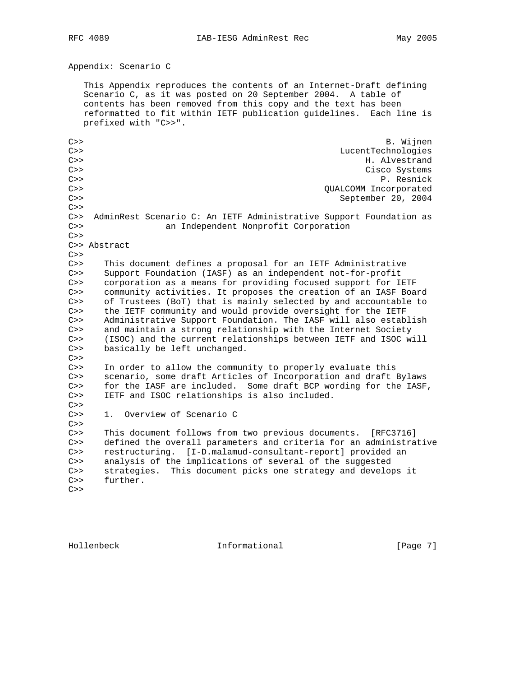Appendix: Scenario C

 This Appendix reproduces the contents of an Internet-Draft defining Scenario C, as it was posted on 20 September 2004. A table of contents has been removed from this copy and the text has been reformatted to fit within IETF publication guidelines. Each line is prefixed with "C>>".

C>> B. Wijnen C>> LucentTechnologies C>> H. Alvestrand C>> Cisco Systems C>> P. Resnick C>> QUALCOMM Incorporated C>> September 20, 2004  $C>>$ C>> AdminRest Scenario C: An IETF Administrative Support Foundation as C>> an Independent Nonprofit Corporation  $C>>$ C>> Abstract  $C>>$ C>> This document defines a proposal for an IETF Administrative C>> Support Foundation (IASF) as an independent not-for-profit C>> corporation as a means for providing focused support for IETF C>> community activities. It proposes the creation of an IASF Board C>> of Trustees (BoT) that is mainly selected by and accountable to C>> the IETF community and would provide oversight for the IETF C>> Administrative Support Foundation. The IASF will also establish<br>C>> and maintain a strong relationship with the Internet Society C>> and maintain a strong relationship with the Internet Society<br>C>> (ISOC) and the current relationships between IETF and ISOC w (ISOC) and the current relationships between IETF and ISOC will C>> basically be left unchanged.  $C>>$ C>> In order to allow the community to properly evaluate this C>> scenario, some draft Articles of Incorporation and draft Bylaws C>> for the IASF are included. Some draft BCP wording for the IASF, C>> IETF and ISOC relationships is also included.  $C>>$ C>> 1. Overview of Scenario C  $C>>$ C>> This document follows from two previous documents. [RFC3716] C>> defined the overall parameters and criteria for an administrative C>> restructuring. [I-D.malamud-consultant-report] provided an C>> analysis of the implications of several of the suggested C>> strategies. This document picks one strategy and develops it C>> further.  $C>>$ 

Hollenbeck **Informational** [Page 7]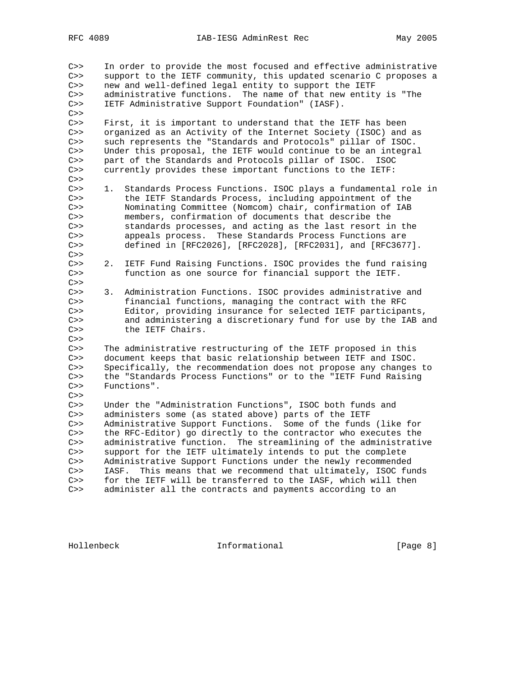C>> In order to provide the most focused and effective administrative C>> support to the IETF community, this updated scenario C proposes a C>> new and well-defined legal entity to support the IETF C>> administrative functions. The name of that new entity is "The C>> IETF Administrative Support Foundation" (IASF).  $C>>$ C>> First, it is important to understand that the IETF has been C>> organized as an Activity of the Internet Society (ISOC) and as C>> such represents the "Standards and Protocols" pillar of ISOC. C>> Under this proposal, the IETF would continue to be an integral C>> part of the Standards and Protocols pillar of ISOC. ISOC C>> currently provides these important functions to the IETF:  $C>>$ C>> 1. Standards Process Functions. ISOC plays a fundamental role in C>> the IETF Standards Process, including appointment of the C>> Nominating Committee (Nomcom) chair, confirmation of IAB C>> members, confirmation of documents that describe the C>> standards processes, and acting as the last resort in the<br>C>> appeals process. These Standards Process Functions are appeals process. These Standards Process Functions are C>> defined in [RFC2026], [RFC2028], [RFC2031], and [RFC3677].  $C>>$ C>> 2. IETF Fund Raising Functions. ISOC provides the fund raising C>> function as one source for financial support the IETF.  $C>>$ C>> 3. Administration Functions. ISOC provides administrative and C>> financial functions, managing the contract with the RFC C>> Editor, providing insurance for selected IETF participants, C>> and administering a discretionary fund for use by the IAB and C>> the IETF Chairs.  $C>>$ C>> The administrative restructuring of the IETF proposed in this C>> document keeps that basic relationship between IETF and ISOC. C>> Specifically, the recommendation does not propose any changes to C>> the "Standards Process Functions" or to the "IETF Fund Raising C>> Functions".  $C>>$ C>> Under the "Administration Functions", ISOC both funds and C>> administers some (as stated above) parts of the IETF C>> Administrative Support Functions. Some of the funds (like for C>> the RFC-Editor) go directly to the contractor who executes the C>> administrative function. The streamlining of the administrative C>> support for the IETF ultimately intends to put the complete C>> Administrative Support Functions under the newly recommended C>> IASF. This means that we recommend that ultimately, ISOC funds C>> for the IETF will be transferred to the IASF, which will then C>> administer all the contracts and payments according to an

Hollenbeck **Informational** [Page 8]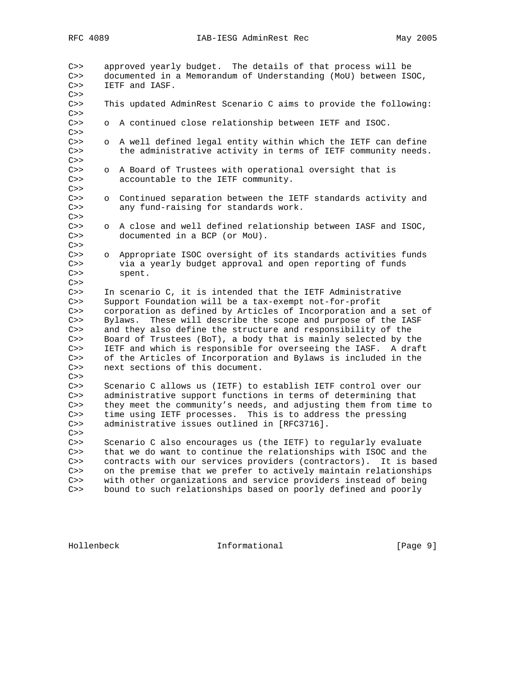C>> approved yearly budget. The details of that process will be C>> documented in a Memorandum of Understanding (MoU) between ISOC, C>> IETF and IASF.  $C>>$ C>> This updated AdminRest Scenario C aims to provide the following:  $C>>$ C>> o A continued close relationship between IETF and ISOC. C>> C>> o A well defined legal entity within which the IETF can define C>> the administrative activity in terms of IETF community needs.  $C>>$ C>> o A Board of Trustees with operational oversight that is C>> accountable to the IETF community. C>> C>> o Continued separation between the IETF standards activity and C>> any fund-raising for standards work.  $C>>$ C>> o A close and well defined relationship between IASF and ISOC, C>> documented in a BCP (or MoU). C>> C>> o Appropriate ISOC oversight of its standards activities funds C>> via a yearly budget approval and open reporting of funds C>> spent.  $C>>$ C>> In scenario C, it is intended that the IETF Administrative C>> Support Foundation will be a tax-exempt not-for-profit C>> corporation as defined by Articles of Incorporation and a set of C>> Bylaws. These will describe the scope and purpose of the IASF C>> and they also define the structure and responsibility of the C>> Board of Trustees (BoT), a body that is mainly selected by the C>> IETF and which is responsible for overseeing the IASF. A draft C>> of the Articles of Incorporation and Bylaws is included in the C>> next sections of this document.  $C>>$ C>> Scenario C allows us (IETF) to establish IETF control over our C>> administrative support functions in terms of determining that<br>C>> they meet the community's needs, and adjusting them from time they meet the community's needs, and adjusting them from time to C>> time using IETF processes. This is to address the pressing C>> administrative issues outlined in [RFC3716].  $C>>$ C>> Scenario C also encourages us (the IETF) to regularly evaluate C>> that we do want to continue the relationships with ISOC and the C>> contracts with our services providers (contractors). It is based C>> on the premise that we prefer to actively maintain relationships C>> with other organizations and service providers instead of being C>> bound to such relationships based on poorly defined and poorly

Hollenbeck Informational [Page 9]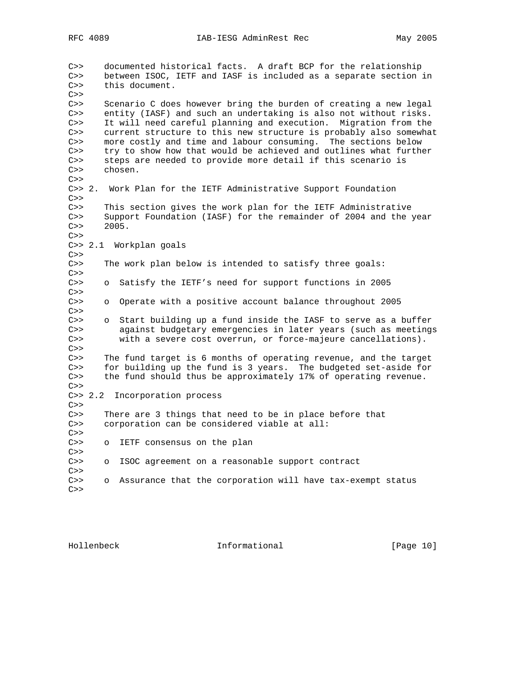C>> documented historical facts. A draft BCP for the relationship C>> between ISOC, IETF and IASF is included as a separate section in C>> this document.  $C>>$ C>> Scenario C does however bring the burden of creating a new legal C>> entity (IASF) and such an undertaking is also not without risks. C>> It will need careful planning and execution. Migration from the C>> current structure to this new structure is probably also somewhat C>> more costly and time and labour consuming. The sections below C>> try to show how that would be achieved and outlines what further C>> steps are needed to provide more detail if this scenario is C>> chosen.  $C>>$ C>> 2. Work Plan for the IETF Administrative Support Foundation  $C>>$ C>> This section gives the work plan for the IETF Administrative C>> Support Foundation (IASF) for the remainder of 2004 and the year  $C>> 2005.$  $C>>$ C>> 2.1 Workplan goals  $C>>$ C>> The work plan below is intended to satisfy three goals:  $C>>$ C>> o Satisfy the IETF's need for support functions in 2005  $C>>$ C>> o Operate with a positive account balance throughout 2005  $C>>$ C>> o Start building up a fund inside the IASF to serve as a buffer C>> against budgetary emergencies in later years (such as meetings C>> with a severe cost overrun, or force-majeure cancellations).  $C>>$ C>> The fund target is 6 months of operating revenue, and the target C>> for building up the fund is 3 years. The budgeted set-aside for C>> the fund should thus be approximately 17% of operating revenue.  $C>>$ C>> 2.2 Incorporation process  $C>>$ C>> There are 3 things that need to be in place before that C>> corporation can be considered viable at all:  $C>>$ C>> o IETF consensus on the plan  $C>>$ C>> o ISOC agreement on a reasonable support contract C>> C>> o Assurance that the corporation will have tax-exempt status  $C>>$ 

Hollenbeck Informational [Page 10]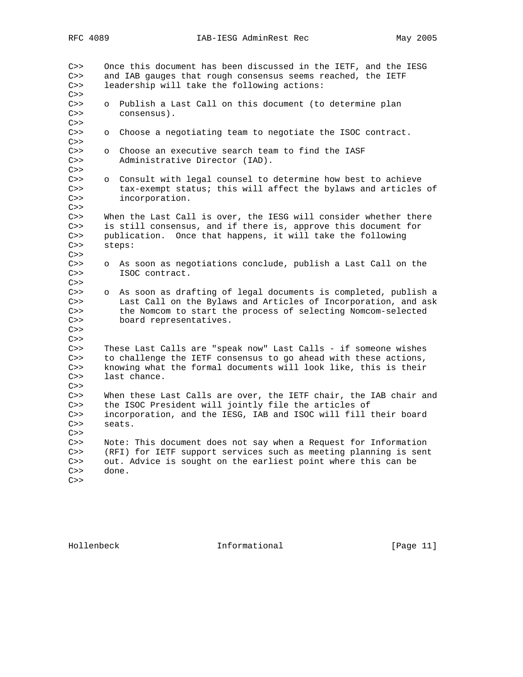C>> Once this document has been discussed in the IETF, and the IESG C>> and IAB gauges that rough consensus seems reached, the IETF C>> leadership will take the following actions:  $C>>$ C>> o Publish a Last Call on this document (to determine plan C>> consensus).  $C>>$ C>> o Choose a negotiating team to negotiate the ISOC contract.  $C>>$ C>> o Choose an executive search team to find the IASF C>> Administrative Director (IAD).  $C>>$ o Consult with legal counsel to determine how best to achieve C>> tax-exempt status; this will affect the bylaws and articles of C>> incorporation.  $C>>$ C>> When the Last Call is over, the IESG will consider whether there C>> is still consensus, and if there is, approve this document for C>> publication. Once that happens, it will take the following C>> steps:  $C>>$ C>> o As soon as negotiations conclude, publish a Last Call on the C>> ISOC contract.  $C>>$ C>> o As soon as drafting of legal documents is completed, publish a C>> Last Call on the Bylaws and Articles of Incorporation, and ask C>> the Nomcom to start the process of selecting Nomcom-selected C>> board representatives.  $C>>$ C>> $C>>$ These Last Calls are "speak now" Last Calls - if someone wishes C>> to challenge the IETF consensus to go ahead with these actions, C>> knowing what the formal documents will look like, this is their C>> last chance.  $C>>$ C>> When these Last Calls are over, the IETF chair, the IAB chair and C>> the ISOC President will jointly file the articles of the ISOC President will jointly file the articles of C>> incorporation, and the IESG, IAB and ISOC will fill their board C>> seats.  $C>>$ C>> Note: This document does not say when a Request for Information C>> (RFI) for IETF support services such as meeting planning is sent C>> out. Advice is sought on the earliest point where this can be C>> done.  $C>>$ 

Hollenbeck Informational [Page 11]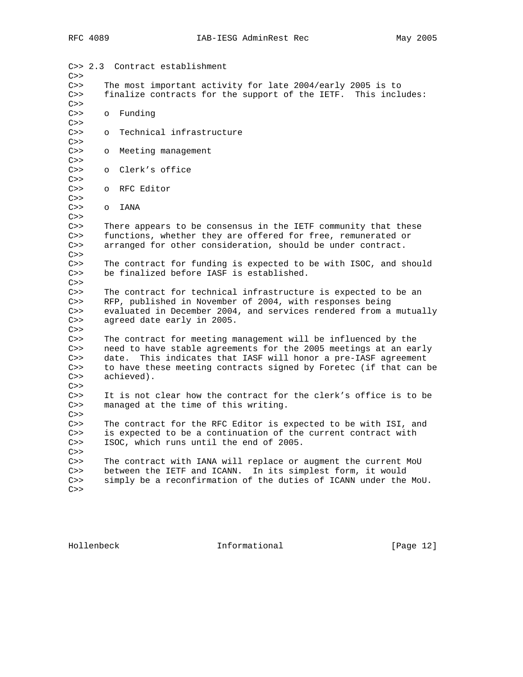| C>> 2.3<br>C>> |                                                                | Contract establishment                                            |  |  |  |  |  |
|----------------|----------------------------------------------------------------|-------------------------------------------------------------------|--|--|--|--|--|
| C>>            |                                                                | The most important activity for late 2004/early 2005 is to        |  |  |  |  |  |
| C>>            | finalize contracts for the support of the IETF. This includes: |                                                                   |  |  |  |  |  |
| C>>            |                                                                |                                                                   |  |  |  |  |  |
| C>>            | $\circ$                                                        | Funding                                                           |  |  |  |  |  |
| C>>            |                                                                |                                                                   |  |  |  |  |  |
| C>>            | $\circ$                                                        | Technical infrastructure                                          |  |  |  |  |  |
| C>>            |                                                                |                                                                   |  |  |  |  |  |
| C>>            | $\circ$                                                        | Meeting management                                                |  |  |  |  |  |
| C>>            |                                                                |                                                                   |  |  |  |  |  |
| C>>            | $\circ$                                                        | Clerk's office                                                    |  |  |  |  |  |
| C>>            |                                                                |                                                                   |  |  |  |  |  |
| C>>            | $\circ$                                                        | RFC Editor                                                        |  |  |  |  |  |
| C>>            |                                                                |                                                                   |  |  |  |  |  |
| C>>            | $\circ$                                                        | <b>IANA</b>                                                       |  |  |  |  |  |
| C>>            |                                                                |                                                                   |  |  |  |  |  |
| C>>            | There appears to be consensus in the IETF community that these |                                                                   |  |  |  |  |  |
| C>>            |                                                                | functions, whether they are offered for free, remunerated or      |  |  |  |  |  |
| C>>            |                                                                | arranged for other consideration, should be under contract.       |  |  |  |  |  |
| C>>            |                                                                |                                                                   |  |  |  |  |  |
| C>>            |                                                                | The contract for funding is expected to be with ISOC, and should  |  |  |  |  |  |
| C>>            |                                                                | be finalized before IASF is established.                          |  |  |  |  |  |
| C>>            |                                                                |                                                                   |  |  |  |  |  |
| C>>            |                                                                | The contract for technical infrastructure is expected to be an    |  |  |  |  |  |
| C>>            |                                                                | RFP, published in November of 2004, with responses being          |  |  |  |  |  |
| C>>            |                                                                | evaluated in December 2004, and services rendered from a mutually |  |  |  |  |  |
| C>>            |                                                                | agreed date early in 2005.                                        |  |  |  |  |  |
| C>>            |                                                                |                                                                   |  |  |  |  |  |
| C>>            |                                                                | The contract for meeting management will be influenced by the     |  |  |  |  |  |
| C>>            |                                                                | need to have stable agreements for the 2005 meetings at an early  |  |  |  |  |  |
| C>>            |                                                                | date. This indicates that IASF will honor a pre-IASF agreement    |  |  |  |  |  |
| C>>            |                                                                | to have these meeting contracts signed by Foretec (if that can be |  |  |  |  |  |
| C>>            | achieved).                                                     |                                                                   |  |  |  |  |  |
| C>>            |                                                                |                                                                   |  |  |  |  |  |
| C>>            |                                                                | It is not clear how the contract for the clerk's office is to be  |  |  |  |  |  |
| C>>            |                                                                | managed at the time of this writing.                              |  |  |  |  |  |
| C>>            |                                                                |                                                                   |  |  |  |  |  |
| C>>            |                                                                | The contract for the RFC Editor is expected to be with ISI, and   |  |  |  |  |  |
| C>>            |                                                                | is expected to be a continuation of the current contract with     |  |  |  |  |  |
| C>>            |                                                                | ISOC, which runs until the end of 2005.                           |  |  |  |  |  |
| C>>            |                                                                |                                                                   |  |  |  |  |  |
| C>>            |                                                                | The contract with IANA will replace or augment the current MoU    |  |  |  |  |  |
| C>>            |                                                                | between the IETF and ICANN. In its simplest form, it would        |  |  |  |  |  |
| C>>            |                                                                | simply be a reconfirmation of the duties of ICANN under the MoU.  |  |  |  |  |  |
| C>>            |                                                                |                                                                   |  |  |  |  |  |
|                |                                                                |                                                                   |  |  |  |  |  |

Hollenbeck **Informational Informational** [Page 12]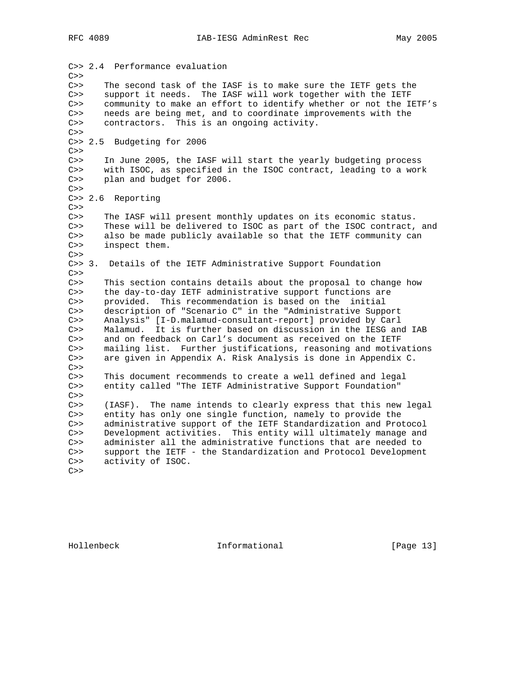C>> 2.4 Performance evaluation  $C>>$ C>> The second task of the IASF is to make sure the IETF gets the C>> support it needs. The IASF will work together with the IETF C>> community to make an effort to identify whether or not the IETF's C>> needs are being met, and to coordinate improvements with the C>> contractors. This is an ongoing activity.  $C>>$ C>> 2.5 Budgeting for 2006  $C>>$ C>> In June 2005, the IASF will start the yearly budgeting process C>> with ISOC, as specified in the ISOC contract, leading to a work C>> plan and budget for 2006.  $C>>$ C>> 2.6 Reporting  $C>>$ C>> The IASF will present monthly updates on its economic status. C>> These will be delivered to ISOC as part of the ISOC contract, and C>> also be made publicly available so that the IETF community can C>> inspect them.  $C>>$ C>> 3. Details of the IETF Administrative Support Foundation  $C>>$ C>> This section contains details about the proposal to change how C>> the day-to-day IETF administrative support functions are C>> provided. This recommendation is based on the initial C>> description of "Scenario C" in the "Administrative Support C>> Analysis" [I-D.malamud-consultant-report] provided by Carl C>> Malamud. It is further based on discussion in the IESG and IAB C>> and on feedback on Carl's document as received on the IETF C>> mailing list. Further justifications, reasoning and motivations C>> are given in Appendix A. Risk Analysis is done in Appendix C.  $C>>$ C>> This document recommends to create a well defined and legal C>> entity called "The IETF Administrative Support Foundation"  $C>>$ C>> (IASF). The name intends to clearly express that this new legal C>> entity has only one single function, namely to provide the C>> administrative support of the IETF Standardization and Protocol C>> Development activities. This entity will ultimately manage and C>> administer all the administrative functions that are needed to C>> support the IETF - the Standardization and Protocol Development C>> activity of ISOC.  $C>>$ 

Hollenbeck Informational [Page 13]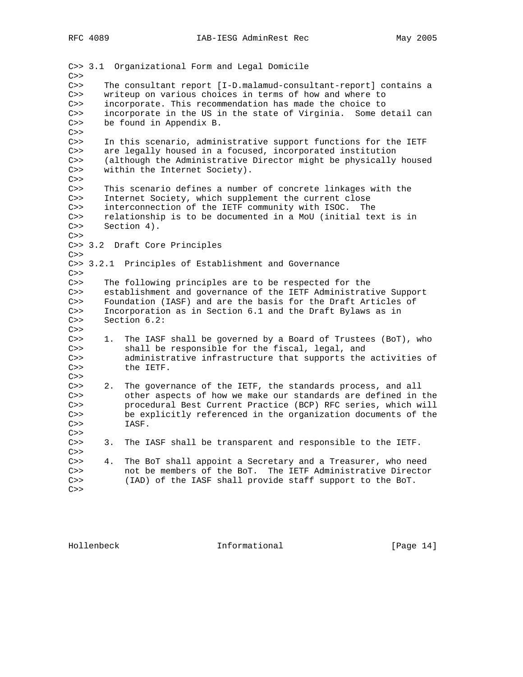C>> 3.1 Organizational Form and Legal Domicile  $C>>$ C>> The consultant report [I-D.malamud-consultant-report] contains a C>> writeup on various choices in terms of how and where to C>> incorporate. This recommendation has made the choice to C>> incorporate in the US in the state of Virginia. Some detail can C>> be found in Appendix B. C>> C>> In this scenario, administrative support functions for the IETF C>> are legally housed in a focused, incorporated institution C>> (although the Administrative Director might be physically housed C>> within the Internet Society).  $C>>$ C>> This scenario defines a number of concrete linkages with the C>> Internet Society, which supplement the current close C>> interconnection of the IETF community with ISOC. The C>> relationship is to be documented in a MoU (initial text is in C>> Section 4).  $C>>$ C>> 3.2 Draft Core Principles  $C>>$ C>> 3.2.1 Principles of Establishment and Governance  $C>>$ C>> The following principles are to be respected for the C>> establishment and governance of the IETF Administrative Support C>> Foundation (IASF) and are the basis for the Draft Articles of C>> Incorporation as in Section 6.1 and the Draft Bylaws as in C>> Section 6.2:  $C>>$ C>> 1. The IASF shall be governed by a Board of Trustees (BoT), who C>> shall be responsible for the fiscal, legal, and C>> administrative infrastructure that supports the activities of C>> the IETF.  $C>>$ C>> 2. The governance of the IETF, the standards process, and all C>> other aspects of how we make our standards are defined in the C>> procedural Best Current Practice (BCP) RFC series, which will C>> be explicitly referenced in the organization documents of the C>> IASF.  $C>>$ C>> 3. The IASF shall be transparent and responsible to the IETF.  $C>>$ C>> 4. The BoT shall appoint a Secretary and a Treasurer, who need C>> not be members of the BoT. The IETF Administrative Director C>> (IAD) of the IASF shall provide staff support to the BoT.  $C>>$ 

Hollenbeck Informational [Page 14]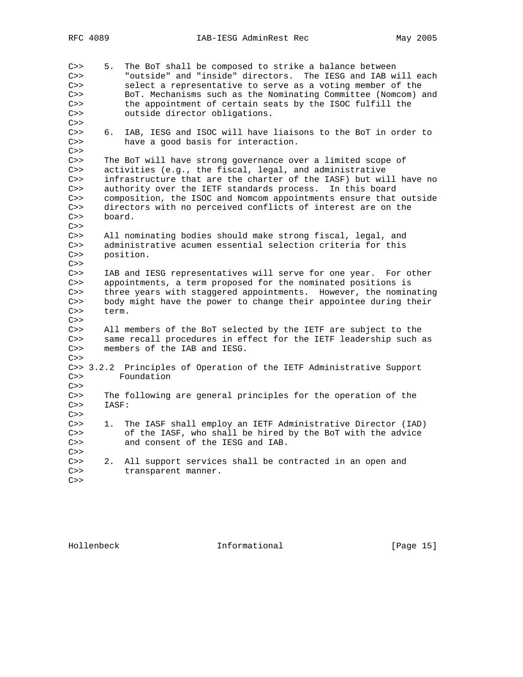C>> 5. The BoT shall be composed to strike a balance between C>> "outside" and "inside" directors. The IESG and IAB will each C>> select a representative to serve as a voting member of the C>> BoT. Mechanisms such as the Nominating Committee (Nomcom) and C>> the appointment of certain seats by the ISOC fulfill the C>> outside director obligations.  $C>>$ C>> 6. IAB, IESG and ISOC will have liaisons to the BoT in order to C>> have a good basis for interaction.  $C>>$ C>> The BoT will have strong governance over a limited scope of C>> activities (e.g., the fiscal, legal, and administrative C>> infrastructure that are the charter of the IASF) but will have no C>> authority over the IETF standards process. In this board C>> composition, the ISOC and Nomcom appointments ensure that outside C>> directors with no perceived conflicts of interest are on the C>> board.  $C>>$ C>> All nominating bodies should make strong fiscal, legal, and C>> administrative acumen essential selection criteria for this C>> position.  $C>>$ C>> IAB and IESG representatives will serve for one year. For other C>> appointments, a term proposed for the nominated positions is C>> three years with staggered appointments. However, the nominating C>> body might have the power to change their appointee during their C>> term.  $C>>$ C>> All members of the BoT selected by the IETF are subject to the C>> same recall procedures in effect for the IETF leadership such as C>> members of the IAB and IESG.  $C>>$ C>> 3.2.2 Principles of Operation of the IETF Administrative Support C>> Foundation  $C>>$ C>> The following are general principles for the operation of the C>> IASF: C>> C>> 1. The IASF shall employ an IETF Administrative Director (IAD) C>> of the IASF, who shall be hired by the BoT with the advice C>> and consent of the IESG and IAB.  $C>>$ C>> 2. All support services shall be contracted in an open and C>> transparent manner.  $C>>$ 

Hollenbeck Informational [Page 15]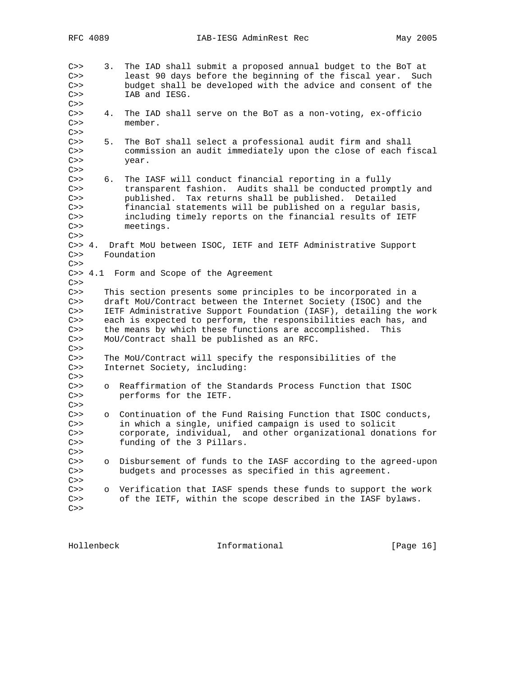C>> 3. The IAD shall submit a proposed annual budget to the BoT at C>> least 90 days before the beginning of the fiscal year. Such C>> budget shall be developed with the advice and consent of the C>> IAB and IESG.  $C>>$ C>> 4. The IAD shall serve on the BoT as a non-voting, ex-officio member. member.  $C>>$ C>> 5. The BoT shall select a professional audit firm and shall C>> commission an audit immediately upon the close of each fiscal C>> year.  $C>>$ C>> 6. The IASF will conduct financial reporting in a fully C>> transparent fashion. Audits shall be conducted promptly and C>> published. Tax returns shall be published. Detailed C>> financial statements will be published on a regular basis, C>> including timely reports on the financial results of IETF C>> meetings.  $C>>$ C>> 4. Draft MoU between ISOC, IETF and IETF Administrative Support C>> Foundation  $C>>$ C>> 4.1 Form and Scope of the Agreement  $C>>$ C>> This section presents some principles to be incorporated in a C>> draft MoU/Contract between the Internet Society (ISOC) and the C>> IETF Administrative Support Foundation (IASF), detailing the work C>> each is expected to perform, the responsibilities each has, and C>> the means by which these functions are accomplished. This C>> MoU/Contract shall be published as an RFC.  $C>>$ C>> The MoU/Contract will specify the responsibilities of the C>> Internet Society, including:  $C>>$ C>> o Reaffirmation of the Standards Process Function that ISOC C>> performs for the IETF.  $C>>$ C>> o Continuation of the Fund Raising Function that ISOC conducts, C>> in which a single, unified campaign is used to solicit C>> corporate, individual, and other organizational donations for C>> funding of the 3 Pillars.  $C>>$ C>> o Disbursement of funds to the IASF according to the agreed-upon C>> budgets and processes as specified in this agreement.  $C>>$ C>> o Verification that IASF spends these funds to support the work C>> of the IETF, within the scope described in the IASF bylaws.  $C>>$ 

Hollenbeck Informational [Page 16]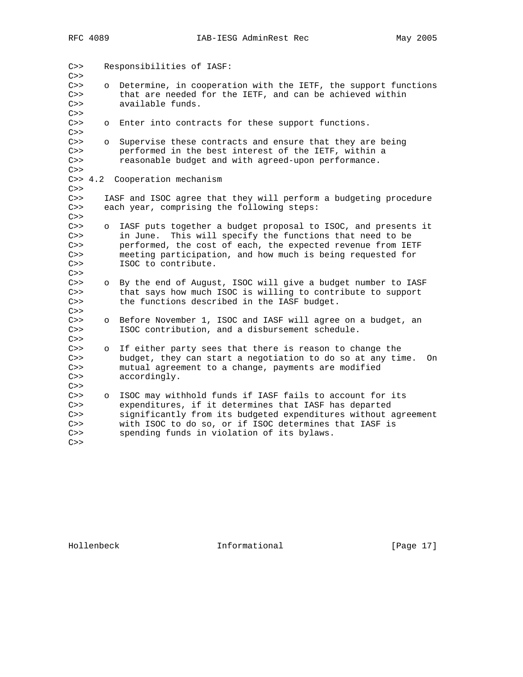| C>><br>C>>                             |          | Responsibilities of IASF:                                                                                                                                                                                                                                                                   |
|----------------------------------------|----------|---------------------------------------------------------------------------------------------------------------------------------------------------------------------------------------------------------------------------------------------------------------------------------------------|
| C>><br>C>><br>C>><br>C>>               | $\circ$  | Determine, in cooperation with the IETF, the support functions<br>that are needed for the IETF, and can be achieved within<br>available funds.                                                                                                                                              |
| C>><br>C>>                             | $\circ$  | Enter into contracts for these support functions.                                                                                                                                                                                                                                           |
| C>><br>C>><br>C>><br>C>>               | $\circ$  | Supervise these contracts and ensure that they are being<br>performed in the best interest of the IETF, within a<br>reasonable budget and with agreed-upon performance.                                                                                                                     |
| C>>                                    | C >> 4.2 | Cooperation mechanism                                                                                                                                                                                                                                                                       |
| C>><br>C>><br>C>>                      |          | IASF and ISOC agree that they will perform a budgeting procedure<br>each year, comprising the following steps:                                                                                                                                                                              |
| C>><br>C>><br>C>><br>C>><br>C>><br>C>> | $\circ$  | IASF puts together a budget proposal to ISOC, and presents it<br>This will specify the functions that need to be<br>in June.<br>performed, the cost of each, the expected revenue from IETF<br>meeting participation, and how much is being requested for<br>ISOC to contribute.            |
| C>><br>C>><br>C>><br>C>>               | $\circ$  | By the end of August, ISOC will give a budget number to IASF<br>that says how much ISOC is willing to contribute to support<br>the functions described in the IASF budget.                                                                                                                  |
| C>><br>C>><br>C>>                      | $\circ$  | Before November 1, ISOC and IASF will agree on a budget, an<br>ISOC contribution, and a disbursement schedule.                                                                                                                                                                              |
| C>><br>C>><br>C>><br>C>><br>C>>        | $\circ$  | If either party sees that there is reason to change the<br>budget, they can start a negotiation to do so at any time.<br>0n<br>mutual agreement to a change, payments are modified<br>accordingly.                                                                                          |
| C>><br>C>><br>C>><br>C>><br>C>><br>C>> | $\circ$  | ISOC may withhold funds if IASF fails to account for its<br>expenditures, if it determines that IASF has departed<br>significantly from its budgeted expenditures without agreement<br>with ISOC to do so, or if ISOC determines that IASF is<br>spending funds in violation of its bylaws. |

Hollenbeck **Informational Informational** [Page 17]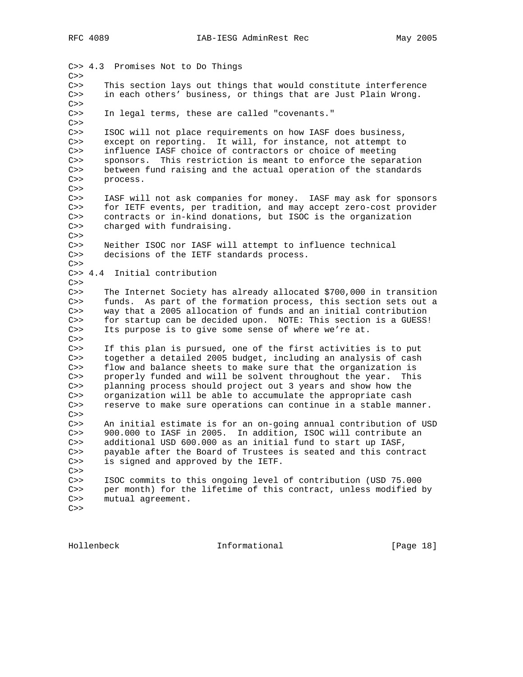C>> 4.3 Promises Not to Do Things  $C>>$ C>> This section lays out things that would constitute interference C>> in each others' business, or things that are Just Plain Wrong.  $C>>$ C>> In legal terms, these are called "covenants."  $C>>$ C>> ISOC will not place requirements on how IASF does business, C>> except on reporting. It will, for instance, not attempt to C>> influence IASF choice of contractors or choice of meeting C>> sponsors. This restriction is meant to enforce the separation C>> between fund raising and the actual operation of the standards C>> process.  $C>>$ C>> IASF will not ask companies for money. IASF may ask for sponsors C>> for IETF events, per tradition, and may accept zero-cost provider C>> contracts or in-kind donations, but ISOC is the organization C>> charged with fundraising.  $C>>$ C>> Neither ISOC nor IASF will attempt to influence technical C>> decisions of the IETF standards process.  $C>>$ C>> 4.4 Initial contribution  $C>>$ C>> The Internet Society has already allocated \$700,000 in transition C>> funds. As part of the formation process, this section sets out a C>> way that a 2005 allocation of funds and an initial contribution C>> for startup can be decided upon. NOTE: This section is a GUESS! C>> Its purpose is to give some sense of where we're at.  $C>>$ C>> If this plan is pursued, one of the first activities is to put C>> together a detailed 2005 budget, including an analysis of cash C>> flow and balance sheets to make sure that the organization is C>> properly funded and will be solvent throughout the year. This C>> planning process should project out 3 years and show how the C>> organization will be able to accumulate the appropriate cash C>> reserve to make sure operations can continue in a stable manner. C>> C>> An initial estimate is for an on-going annual contribution of USD C>> 900.000 to IASF in 2005. In addition, ISOC will contribute an C>> additional USD 600.000 as an initial fund to start up IASF, C>> payable after the Board of Trustees is seated and this contract C>> is signed and approved by the IETF.  $C>>$ C>> ISOC commits to this ongoing level of contribution (USD 75.000 C>> per month) for the lifetime of this contract, unless modified by C>> mutual agreement.  $C>>$ 

Hollenbeck Informational [Page 18]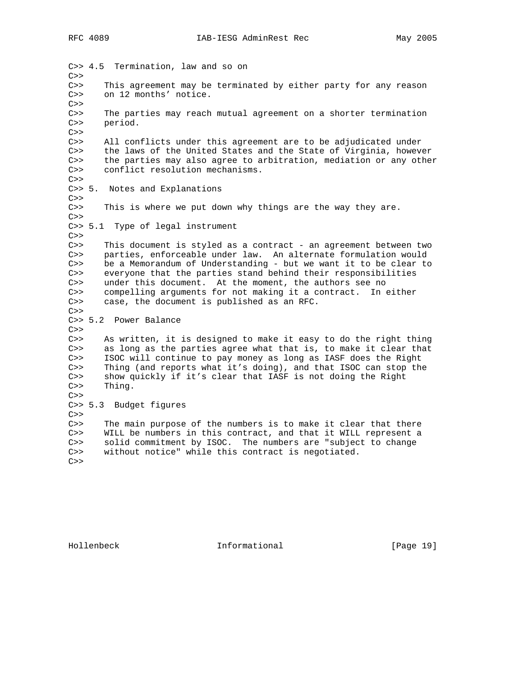C>> 4.5 Termination, law and so on  $C>>$ C>> This agreement may be terminated by either party for any reason C>> on 12 months' notice.  $C>>$ C>> The parties may reach mutual agreement on a shorter termination C>> period.  $C>>$ C>> All conflicts under this agreement are to be adjudicated under C>> the laws of the United States and the State of Virginia, however C>> the parties may also agree to arbitration, mediation or any other C>> conflict resolution mechanisms.  $C>>$ C>> 5. Notes and Explanations  $C>>$ C>> This is where we put down why things are the way they are.  $C>>$ C>> 5.1 Type of legal instrument  $C>>$ C>> This document is styled as a contract - an agreement between two C>> parties, enforceable under law. An alternate formulation would C>> be a Memorandum of Understanding - but we want it to be clear to C>> everyone that the parties stand behind their responsibilities C>> under this document. At the moment, the authors see no C>> compelling arguments for not making it a contract. In either C>> case, the document is published as an RFC.  $C>>$ C>> 5.2 Power Balance  $C>>$ C>> As written, it is designed to make it easy to do the right thing C>> as long as the parties agree what that is, to make it clear that C>> ISOC will continue to pay money as long as IASF does the Right C>> Thing (and reports what it's doing), and that ISOC can stop the C>> show quickly if it's clear that IASF is not doing the Right C>> Thing.  $C>>$ C>> 5.3 Budget figures  $C>>$ C>> The main purpose of the numbers is to make it clear that there C>> WILL be numbers in this contract, and that it WILL represent a C>> solid commitment by ISOC. The numbers are "subject to change C>> without notice" while this contract is negotiated.  $C>>$ 

Hollenbeck Informational [Page 19]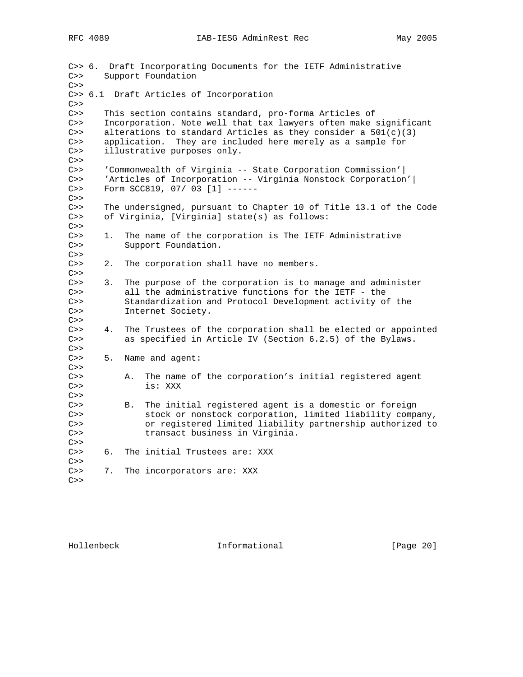C>> 6. Draft Incorporating Documents for the IETF Administrative C>> Support Foundation  $C>>$ C>> 6.1 Draft Articles of Incorporation  $C>>$ C>> This section contains standard, pro-forma Articles of C>> Incorporation. Note well that tax lawyers often make significant C>> alterations to standard Articles as they consider a  $501(c)(3)$ C>> application. They are included here merely as a sample for C>> illustrative purposes only.  $C>>$ C>> 'Commonwealth of Virginia -- State Corporation Commission'| C>> 'Articles of Incorporation -- Virginia Nonstock Corporation'| C>> Form SCC819, 07/ 03 [1] ------  $C>>$ C>> The undersigned, pursuant to Chapter 10 of Title 13.1 of the Code C>> of Virginia, [Virginia] state(s) as follows:  $C>>$ C>> 1. The name of the corporation is The IETF Administrative C>> Support Foundation.  $C>>$ C>> 2. The corporation shall have no members.  $C>>$ C>> 3. The purpose of the corporation is to manage and administer C>> all the administrative functions for the IETF - the C>> Standardization and Protocol Development activity of the C>> Internet Society.  $C>>$ C>> 4. The Trustees of the corporation shall be elected or appointed C>> as specified in Article IV (Section 6.2.5) of the Bylaws.  $C>>$ C>> 5. Name and agent:  $C>>$ C>> A. The name of the corporation's initial registered agent C>> is: XXX  $C>>$ C>> B. The initial registered agent is a domestic or foreign C>> stock or nonstock corporation, limited liability company, C>> or registered limited liability partnership authorized to C>> transact business in Virginia.  $C>>$ C>> 6. The initial Trustees are: XXX C>> C>> 7. The incorporators are: XXX  $C>>$ 

Hollenbeck Informational [Page 20]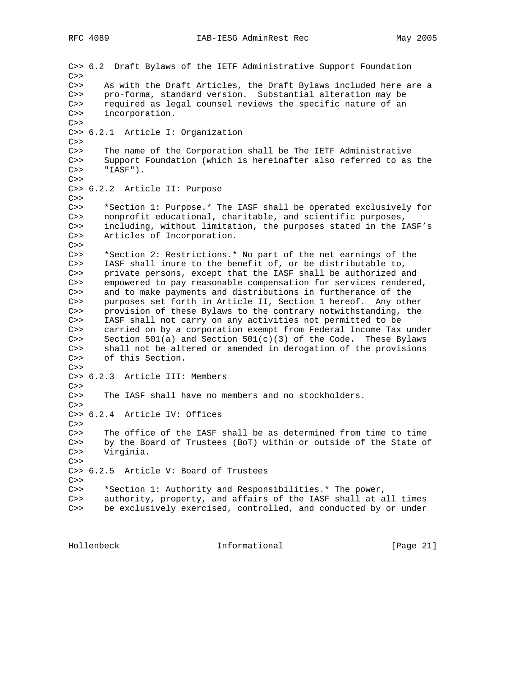C>> 6.2 Draft Bylaws of the IETF Administrative Support Foundation  $C>>$ C>> As with the Draft Articles, the Draft Bylaws included here are a C>> pro-forma, standard version. Substantial alteration may be C>> required as legal counsel reviews the specific nature of an C>> incorporation.  $C>>$ C>> 6.2.1 Article I: Organization  $C>>$ C>> The name of the Corporation shall be The IETF Administrative C>> Support Foundation (which is hereinafter also referred to as the  $C>>$  "IASF").  $C>>$ C>> 6.2.2 Article II: Purpose  $C>>$ C>> \*Section 1: Purpose.\* The IASF shall be operated exclusively for C>> nonprofit educational, charitable, and scientific purposes, C>> including, without limitation, the purposes stated in the IASF's C>> Articles of Incorporation. C>> C>> \*Section 2: Restrictions.\* No part of the net earnings of the C>> IASF shall inure to the benefit of, or be distributable to, C>> private persons, except that the IASF shall be authorized and C>> empowered to pay reasonable compensation for services rendered, C>> and to make payments and distributions in furtherance of the C>> purposes set forth in Article II, Section 1 hereof. Any other C>> provision of these Bylaws to the contrary notwithstanding, the C>> IASF shall not carry on any activities not permitted to be C>> carried on by a corporation exempt from Federal Income Tax under C>> Section 501(a) and Section  $501(c)(3)$  of the Code. These Bylaws C>> shall not be altered or amended in derogation of the provisions C>> of this Section.  $C>>$ C>> 6.2.3 Article III: Members  $C>>$ C>> The IASF shall have no members and no stockholders.  $C>>$ C>> 6.2.4 Article IV: Offices  $C>>$ C>> The office of the IASF shall be as determined from time to time C>> by the Board of Trustees (BoT) within or outside of the State of C>> Virginia.  $C>>$ C>> 6.2.5 Article V: Board of Trustees  $C>>$ C>> \*Section 1: Authority and Responsibilities.\* The power, C>> authority, property, and affairs of the IASF shall at all times C>> be exclusively exercised, controlled, and conducted by or under

Hollenbeck Informational [Page 21]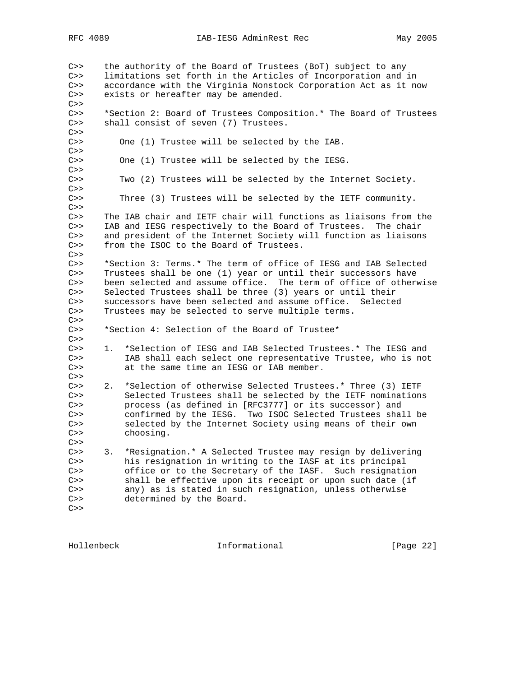C>> the authority of the Board of Trustees (BoT) subject to any C>> limitations set forth in the Articles of Incorporation and in C>> accordance with the Virginia Nonstock Corporation Act as it now C>> exists or hereafter may be amended.  $C>>$ C>> \*Section 2: Board of Trustees Composition.\* The Board of Trustees C>> shall consist of seven (7) Trustees.  $C>>$ C>> One (1) Trustee will be selected by the IAB.  $C>>$ C>> One (1) Trustee will be selected by the IESG.  $C>>$ Two (2) Trustees will be selected by the Internet Society.  $C>>$ C>> Three (3) Trustees will be selected by the IETF community.  $C>>$ C>> The IAB chair and IETF chair will functions as liaisons from the C>> IAB and IESG respectively to the Board of Trustees. The chair C>> and president of the Internet Society will function as liaisons C>> from the ISOC to the Board of Trustees.  $C>>$ C>> \*Section 3: Terms.\* The term of office of IESG and IAB Selected C>> Trustees shall be one (1) year or until their successors have C>> been selected and assume office. The term of office of otherwise<br>C>> Selected Trustees shall be three (3) years or until their Selected Trustees shall be three (3) years or until their C>> successors have been selected and assume office. Selected C>> Trustees may be selected to serve multiple terms.  $C>>$ C>> \*Section 4: Selection of the Board of Trustee\*  $C>>$ C>> 1. \*Selection of IESG and IAB Selected Trustees.\* The IESG and C>> IAB shall each select one representative Trustee, who is not C>> at the same time an IESG or IAB member.  $C>>$ C>> 2. \*Selection of otherwise Selected Trustees.\* Three (3) IETF C>> Selected Trustees shall be selected by the IETF nominations C>> process (as defined in [RFC3777] or its successor) and C>> confirmed by the IESG. Two ISOC Selected Trustees shall be C>> selected by the Internet Society using means of their own C>> choosing.  $C>>$ C>> 3. \*Resignation.\* A Selected Trustee may resign by delivering C>> his resignation in writing to the IASF at its principal C>> office or to the Secretary of the IASF. Such resignation C>> shall be effective upon its receipt or upon such date (if C>> any) as is stated in such resignation, unless otherwise C>> determined by the Board.  $C>>$ 

Hollenbeck Informational [Page 22]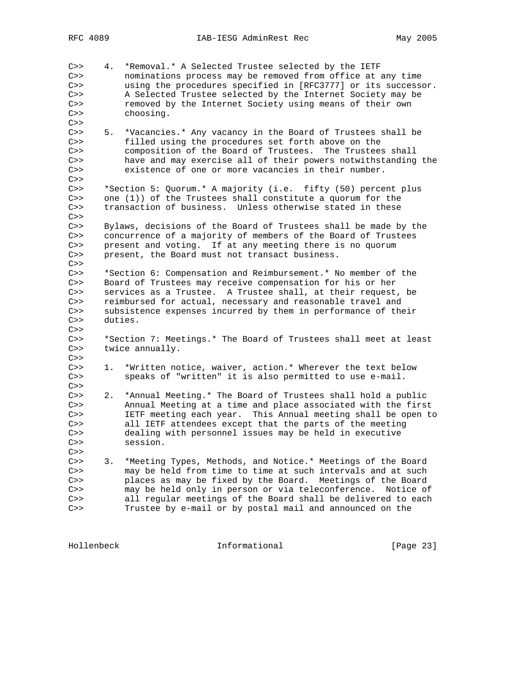C>> 4. \*Removal.\* A Selected Trustee selected by the IETF C>> nominations process may be removed from office at any time C>> using the procedures specified in [RFC3777] or its successor. C>> A Selected Trustee selected by the Internet Society may be C>> removed by the Internet Society using means of their own C>> choosing.  $C>>$ C>> 5. \*Vacancies.\* Any vacancy in the Board of Trustees shall be C>> filled using the procedures set forth above on the C>> composition of the Board of Trustees. The Trustees shall C>> have and may exercise all of their powers notwithstanding the C>> existence of one or more vacancies in their number.  $C>>$ C>> \*Section 5: Quorum.\* A majority (i.e. fifty (50) percent plus C>> one (1)) of the Trustees shall constitute a quorum for the C>> transaction of business. Unless otherwise stated in these  $C>>$ C>> Bylaws, decisions of the Board of Trustees shall be made by the C>> concurrence of a majority of members of the Board of Trustees C>> present and voting. If at any meeting there is no quorum C>> present, the Board must not transact business.  $C>>$ C>> \*Section 6: Compensation and Reimbursement.\* No member of the C>> Board of Trustees may receive compensation for his or her<br>C>> services as a Trustee. A Trustee shall, at their request services as a Trustee. A Trustee shall, at their request, be C>> reimbursed for actual, necessary and reasonable travel and C>> subsistence expenses incurred by them in performance of their C>> duties.  $C>>$ C>> \*Section 7: Meetings.\* The Board of Trustees shall meet at least C>> twice annually.  $C>>$ C>> 1. \*Written notice, waiver, action.\* Wherever the text below C>> speaks of "written" it is also permitted to use e-mail.  $C>>$ C>> 2. \*Annual Meeting.\* The Board of Trustees shall hold a public C>> Annual Meeting at a time and place associated with the first C>> IETF meeting each year. This Annual meeting shall be open to C>> all IETF attendees except that the parts of the meeting C>> dealing with personnel issues may be held in executive C>> session.  $C>>$ C>> 3. \*Meeting Types, Methods, and Notice.\* Meetings of the Board C>> may be held from time to time at such intervals and at such C>> places as may be fixed by the Board. Meetings of the Board C>> may be held only in person or via teleconference. Notice of C>> all regular meetings of the Board shall be delivered to each C>> Trustee by e-mail or by postal mail and announced on the

Hollenbeck Informational [Page 23]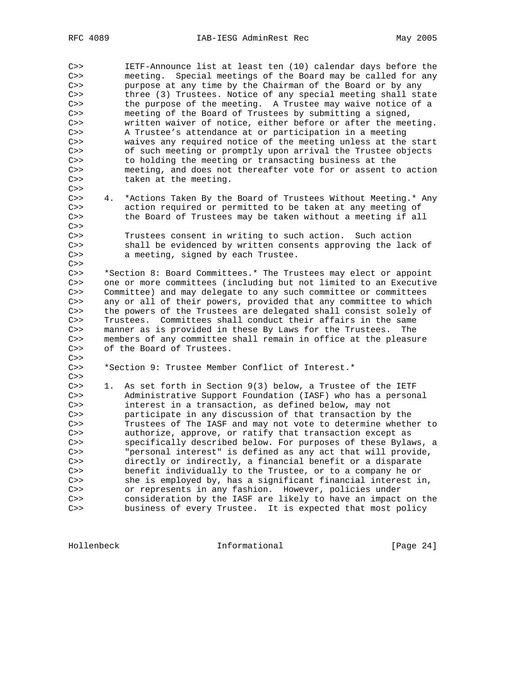C>> IETF-Announce list at least ten (10) calendar days before the C>> meeting. Special meetings of the Board may be called for any C>> purpose at any time by the Chairman of the Board or by any C>> three (3) Trustees. Notice of any special meeting shall state C>> the purpose of the meeting. A Trustee may waive notice of a C>> meeting of the Board of Trustees by submitting a signed, C>> written waiver of notice, either before or after the meeting. C>> A Trustee's attendance at or participation in a meeting C>> waives any required notice of the meeting unless at the start C>> of such meeting or promptly upon arrival the Trustee objects C>> to holding the meeting or transacting business at the C>> meeting, and does not thereafter vote for or assent to action C>> taken at the meeting.  $C>>$ C>> 4. \*Actions Taken By the Board of Trustees Without Meeting.\* Any C>> action required or permitted to be taken at any meeting of C>> the Board of Trustees may be taken without a meeting if all  $C>>$ C>> Trustees consent in writing to such action. Such action C>> shall be evidenced by written consents approving the lack of C>> a meeting, signed by each Trustee.  $C>>$ C>> \*Section 8: Board Committees.\* The Trustees may elect or appoint C>> one or more committees (including but not limited to an Executive<br>C>> Committee) and may delegate to any such committee or committees Committee) and may delegate to any such committee or committees C>> any or all of their powers, provided that any committee to which C>> the powers of the Trustees are delegated shall consist solely of C>> Trustees. Committees shall conduct their affairs in the same C>> manner as is provided in these By Laws for the Trustees. The C>> members of any committee shall remain in office at the pleasure C>> of the Board of Trustees.  $C>>$ C>> \*Section 9: Trustee Member Conflict of Interest.\*  $C>>$ C>> 1. As set forth in Section 9(3) below, a Trustee of the IETF C>> Administrative Support Foundation (IASF) who has a personal C>> interest in a transaction, as defined below, may not C>> participate in any discussion of that transaction by the C>> Trustees of The IASF and may not vote to determine whether to C>> authorize, approve, or ratify that transaction except as C>> specifically described below. For purposes of these Bylaws, a C>> "personal interest" is defined as any act that will provide, C>> directly or indirectly, a financial benefit or a disparate C>> benefit individually to the Trustee, or to a company he or C>> she is employed by, has a significant financial interest in, C>> or represents in any fashion. However, policies under C>> consideration by the IASF are likely to have an impact on the C>> business of every Trustee. It is expected that most policy

Hollenbeck Informational [Page 24]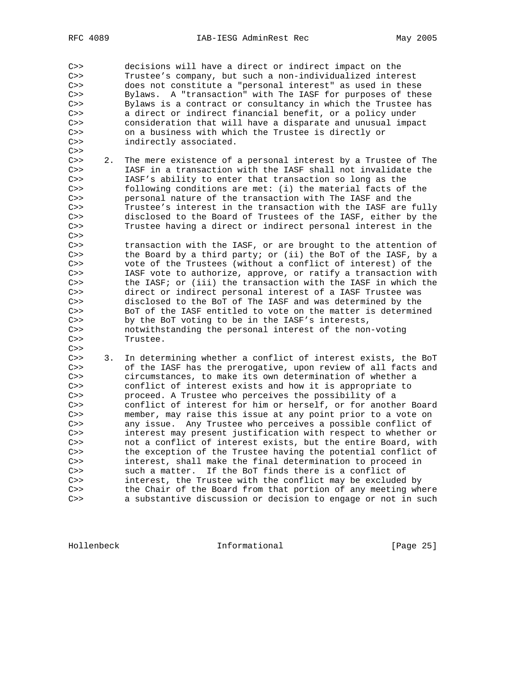C>> decisions will have a direct or indirect impact on the C>> Trustee's company, but such a non-individualized interest C>> does not constitute a "personal interest" as used in these C>> Bylaws. A "transaction" with The IASF for purposes of these C>> Bylaws is a contract or consultancy in which the Trustee has C>> a direct or indirect financial benefit, or a policy under C>> consideration that will have a disparate and unusual impact C>> on a business with which the Trustee is directly or C>> indirectly associated.  $C>>$ C>> 2. The mere existence of a personal interest by a Trustee of The C>> IASF in a transaction with the IASF shall not invalidate the C>> IASF's ability to enter that transaction so long as the C>> following conditions are met: (i) the material facts of the C>> personal nature of the transaction with The IASF and the C>> Trustee's interest in the transaction with the IASF are fully C>> disclosed to the Board of Trustees of the IASF, either by the C>> Trustee having a direct or indirect personal interest in the  $C>>$ C>> transaction with the IASF, or are brought to the attention of C>> the Board by a third party; or (ii) the BoT of the IASF, by a C>> vote of the Trustees (without a conflict of interest) of the C>> IASF vote to authorize, approve, or ratify a transaction with C>> the IASF; or (iii) the transaction with the IASF in which the C>> direct or indirect personal interest of a IASF Trustee was C>> disclosed to the BoT of The IASF and was determined by the C>> BoT of the IASF entitled to vote on the matter is determined C>> by the BoT voting to be in the IASF's interests, C>> notwithstanding the personal interest of the non-voting C>> Trustee.  $C>>$ C>> 3. In determining whether a conflict of interest exists, the BoT C>> of the IASF has the prerogative, upon review of all facts and C>> circumstances, to make its own determination of whether a C>> conflict of interest exists and how it is appropriate to C>> proceed. A Trustee who perceives the possibility of a C>> conflict of interest for him or herself, or for another Board C>> member, may raise this issue at any point prior to a vote on C>> any issue. Any Trustee who perceives a possible conflict of C>> interest may present justification with respect to whether or C>> not a conflict of interest exists, but the entire Board, with C>> the exception of the Trustee having the potential conflict of C>> interest, shall make the final determination to proceed in C>> such a matter. If the BoT finds there is a conflict of C>> interest, the Trustee with the conflict may be excluded by C>> the Chair of the Board from that portion of any meeting where C>> a substantive discussion or decision to engage or not in such

Hollenbeck Informational [Page 25]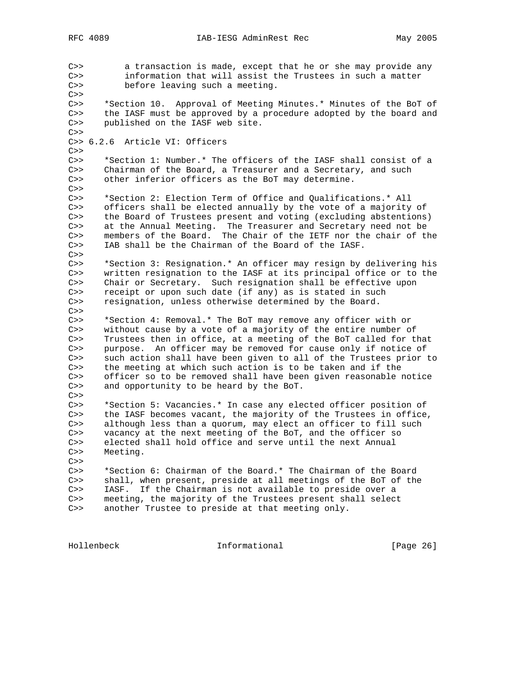C>> a transaction is made, except that he or she may provide any C>> information that will assist the Trustees in such a matter C>> before leaving such a meeting.  $C>>$ C>> \*Section 10. Approval of Meeting Minutes.\* Minutes of the BoT of C>> the IASF must be approved by a procedure adopted by the board and C>> published on the IASF web site.  $C>>$ C>> 6.2.6 Article VI: Officers  $C>>$ C>> \*Section 1: Number.\* The officers of the IASF shall consist of a C>> Chairman of the Board, a Treasurer and a Secretary, and such C>> other inferior officers as the BoT may determine.  $C>>$ C>> \*Section 2: Election Term of Office and Qualifications.\* All C>> officers shall be elected annually by the vote of a majority of C>> the Board of Trustees present and voting (excluding abstentions) C>> at the Annual Meeting. The Treasurer and Secretary need not be C>> members of the Board. The Chair of the IETF nor the chair of the C>> IAB shall be the Chairman of the Board of the IASF.  $C>>$ C>> \*Section 3: Resignation.\* An officer may resign by delivering his C>> written resignation to the IASF at its principal office or to the C>> Chair or Secretary. Such resignation shall be effective upon<br>C>> receipt or upon such date (if any) as is stated in such C>> receipt or upon such date (if any) as is stated in such<br>C>> resignation, unless otherwise determined by the Board. resignation, unless otherwise determined by the Board.  $C>>$ C>> \*Section 4: Removal.\* The BoT may remove any officer with or C>> without cause by a vote of a majority of the entire number of C>> Trustees then in office, at a meeting of the BoT called for that C>> purpose. An officer may be removed for cause only if notice of C>> such action shall have been given to all of the Trustees prior to C>> the meeting at which such action is to be taken and if the C>> officer so to be removed shall have been given reasonable notice C>> and opportunity to be heard by the BoT.  $C>>$ C>> \*Section 5: Vacancies.\* In case any elected officer position of C>> the IASF becomes vacant, the majority of the Trustees in office, C>> although less than a quorum, may elect an officer to fill such C>> vacancy at the next meeting of the BoT, and the officer so C>> elected shall hold office and serve until the next Annual C>> Meeting.  $C>>$ C>> \*Section 6: Chairman of the Board.\* The Chairman of the Board C>> shall, when present, preside at all meetings of the BoT of the C>> IASF. If the Chairman is not available to preside over a C>> meeting, the majority of the Trustees present shall select C>> another Trustee to preside at that meeting only.

Hollenbeck Informational [Page 26]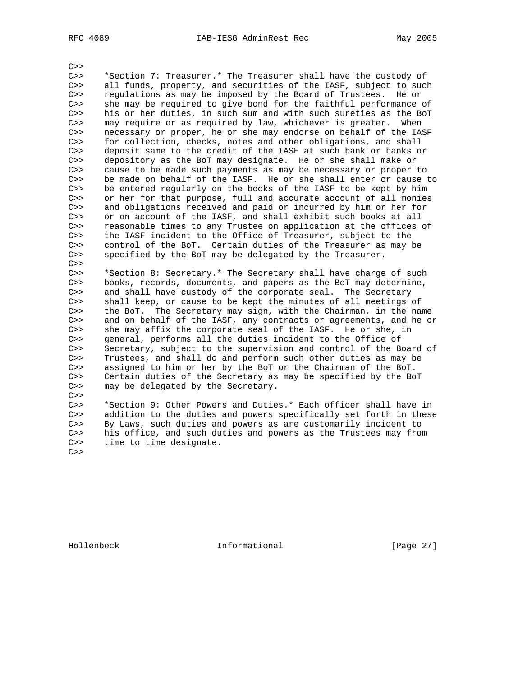$C>>$ C>> \*Section 7: Treasurer.\* The Treasurer shall have the custody of C>> all funds, property, and securities of the IASF, subject to such C>> regulations as may be imposed by the Board of Trustees. He or C>> she may be required to give bond for the faithful performance of C>> his or her duties, in such sum and with such sureties as the BoT<br>C>> may require or as required by law, whichever is greater. When may require or as required by law, whichever is greater. When C>> necessary or proper, he or she may endorse on behalf of the IASF C>> for collection, checks, notes and other obligations, and shall C>> deposit same to the credit of the IASF at such bank or banks or C>> depository as the BoT may designate. He or she shall make or C>> cause to be made such payments as may be necessary or proper to C>> be made on behalf of the IASF. He or she shall enter or cause to C>> be entered regularly on the books of the IASF to be kept by him C>> or her for that purpose, full and accurate account of all monies C>> and obligations received and paid or incurred by him or her for C>> or on account of the IASF, and shall exhibit such books at all C>> reasonable times to any Trustee on application at the offices of C>> the IASF incident to the Office of Treasurer, subject to the C>> control of the BoT. Certain duties of the Treasurer as may be C>> specified by the BoT may be delegated by the Treasurer.  $C>>$ C>> \*Section 8: Secretary.\* The Secretary shall have charge of such C>> books, records, documents, and papers as the BoT may determine,<br>C>> and shall have custody of the corporate seal. The Secretary and shall have custody of the corporate seal. The Secretary C>> shall keep, or cause to be kept the minutes of all meetings of C>> the BoT. The Secretary may sign, with the Chairman, in the name C>> and on behalf of the IASF, any contracts or agreements, and he or C>> she may affix the corporate seal of the IASF. He or she, in C>> general, performs all the duties incident to the Office of C>> Secretary, subject to the supervision and control of the Board of C>> Trustees, and shall do and perform such other duties as may be C>> assigned to him or her by the BoT or the Chairman of the BoT. C>> Certain duties of the Secretary as may be specified by the BoT C>> may be delegated by the Secretary.  $C>>$ \*Section 9: Other Powers and Duties.\* Each officer shall have in C>> addition to the duties and powers specifically set forth in these C>> By Laws, such duties and powers as are customarily incident to C>> his office, and such duties and powers as the Trustees may from

 $C>>$ 

C>> time to time designate.

Hollenbeck Informational [Page 27]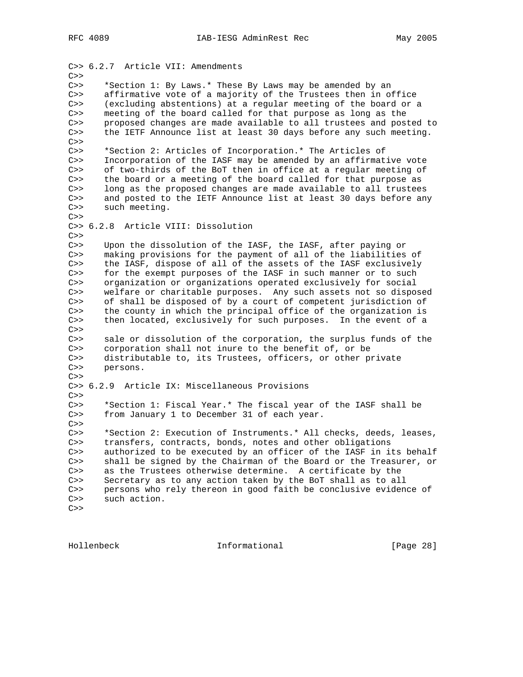C>> 6.2.7 Article VII: Amendments  $C>>$ C>> \*Section 1: By Laws.\* These By Laws may be amended by an C>> affirmative vote of a majority of the Trustees then in office C>> (excluding abstentions) at a regular meeting of the board or a C>> meeting of the board called for that purpose as long as the C>> proposed changes are made available to all trustees and posted to C>> the IETF Announce list at least 30 days before any such meeting.  $C>>$ C>> \*Section 2: Articles of Incorporation.\* The Articles of C>> Incorporation of the IASF may be amended by an affirmative vote C>> of two-thirds of the BoT then in office at a regular meeting of C>> the board or a meeting of the board called for that purpose as C>> long as the proposed changes are made available to all trustees C>> and posted to the IETF Announce list at least 30 days before any C>> such meeting.  $C>>$ C>> 6.2.8 Article VIII: Dissolution  $C>>$ C>> Upon the dissolution of the IASF, the IASF, after paying or C>> making provisions for the payment of all of the liabilities of C>> the IASF, dispose of all of the assets of the IASF exclusively C>> for the exempt purposes of the IASF in such manner or to such C>> organization or organizations operated exclusively for social C>> welfare or charitable purposes. Any such assets not so disposed C>> of shall be disposed of by a court of competent jurisdiction of C>> the county in which the principal office of the organization is C>> then located, exclusively for such purposes. In the event of a C>><br>C>> sale or dissolution of the corporation, the surplus funds of the C>> corporation shall not inure to the benefit of, or be C>> distributable to, its Trustees, officers, or other private C>> persons.  $C>>$ C>> 6.2.9 Article IX: Miscellaneous Provisions  $C>>$ C>> \*Section 1: Fiscal Year.\* The fiscal year of the IASF shall be C>> from January 1 to December 31 of each year.  $C>>$ C>> \*Section 2: Execution of Instruments.\* All checks, deeds, leases, C>> transfers, contracts, bonds, notes and other obligations C>> authorized to be executed by an officer of the IASF in its behalf C>> shall be signed by the Chairman of the Board or the Treasurer, or C>> as the Trustees otherwise determine. A certificate by the C>> Secretary as to any action taken by the BoT shall as to all C>> persons who rely thereon in good faith be conclusive evidence of C>> such action.

```
C>>
```
Hollenbeck **Informational** [Page 28]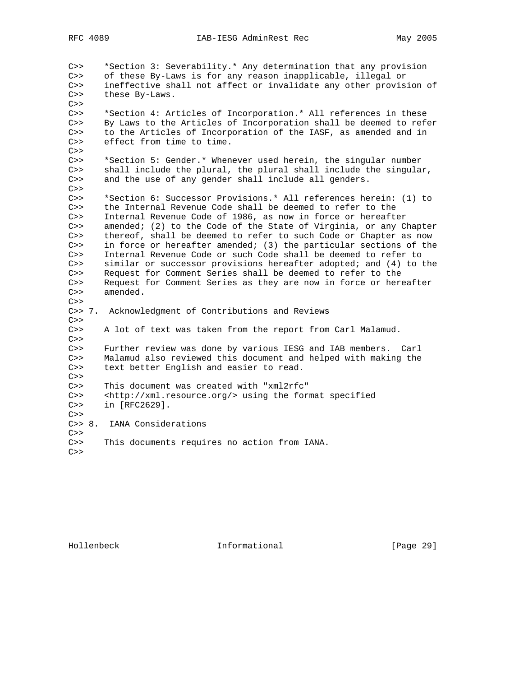C>> \*Section 3: Severability.\* Any determination that any provision C>> of these By-Laws is for any reason inapplicable, illegal or C>> ineffective shall not affect or invalidate any other provision of C>> these By-Laws.  $C>>$ C>> \*Section 4: Articles of Incorporation.\* All references in these C>> By Laws to the Articles of Incorporation shall be deemed to refer C>> to the Articles of Incorporation of the IASF, as amended and in C>> effect from time to time.  $C>>$ C>> \*Section 5: Gender.\* Whenever used herein, the singular number C>> shall include the plural, the plural shall include the singular,<br>C>> and the use of any gender shall include all genders. and the use of any gender shall include all genders.  $C>>$ C>> \*Section 6: Successor Provisions.\* All references herein: (1) to C>> the Internal Revenue Code shall be deemed to refer to the C>> Internal Revenue Code of 1986, as now in force or hereafter C>> amended; (2) to the Code of the State of Virginia, or any Chapter C>> thereof, shall be deemed to refer to such Code or Chapter as now C>> in force or hereafter amended; (3) the particular sections of the C>> Internal Revenue Code or such Code shall be deemed to refer to C>> similar or successor provisions hereafter adopted; and (4) to the C>> Request for Comment Series shall be deemed to refer to the C>> Request for Comment Series as they are now in force or hereafter<br>C>> amended. amended.  $C>>$ C>> 7. Acknowledgment of Contributions and Reviews  $C>>$ C>> A lot of text was taken from the report from Carl Malamud.  $C>>$ C>> Further review was done by various IESG and IAB members. Carl C>> Malamud also reviewed this document and helped with making the C>> text better English and easier to read.  $C>>$ C>> This document was created with "xml2rfc" C>> <http://xml.resource.org/> using the format specified C>> in [RFC2629].  $C>>$ C>> 8. IANA Considerations  $C>>$ C>> This documents requires no action from IANA.  $C>>$ 

Hollenbeck Informational [Page 29]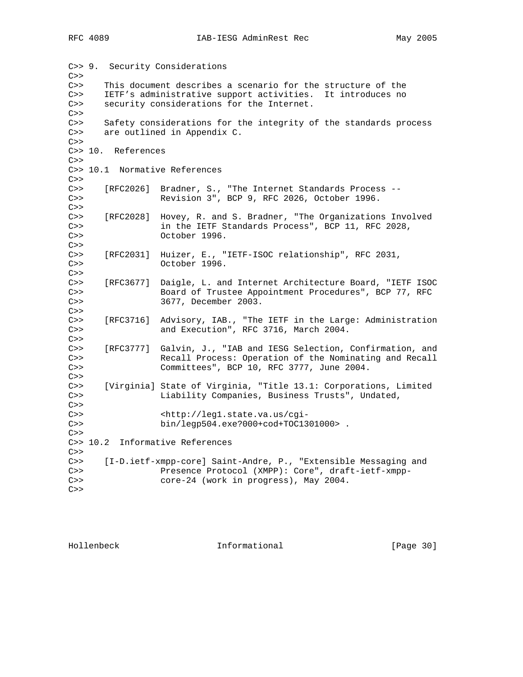C>> 9. Security Considerations  $C>>$ C>> This document describes a scenario for the structure of the C>> IETF's administrative support activities. It introduces no C>> security considerations for the Internet.  $C>>$ C>> Safety considerations for the integrity of the standards process C>> are outlined in Appendix C.  $C>>$ C>> 10. References  $C>>$ C>> 10.1 Normative References  $C>>$ C>> [RFC2026] Bradner, S., "The Internet Standards Process -- C>> Revision 3", BCP 9, RFC 2026, October 1996.  $C>>$ C>> [RFC2028] Hovey, R. and S. Bradner, "The Organizations Involved C>> in the IETF Standards Process", BCP 11, RFC 2028, C>> October 1996.  $C>>$ C>> [RFC2031] Huizer, E., "IETF-ISOC relationship", RFC 2031, C>> October 1996.  $C>>$ C>> [RFC3677] Daigle, L. and Internet Architecture Board, "IETF ISOC C>> Board of Trustee Appointment Procedures", BCP 77, RFC C>> 3677, December 2003.  $C>>$ C>> [RFC3716] Advisory, IAB., "The IETF in the Large: Administration C>> and Execution", RFC 3716, March 2004.  $C>>$ C>> [RFC3777] Galvin, J., "IAB and IESG Selection, Confirmation, and C>> Recall Process: Operation of the Nominating and Recall C>> Committees", BCP 10, RFC 3777, June 2004.  $C>>$ C>> [Virginia] State of Virginia, "Title 13.1: Corporations, Limited C>> Liability Companies, Business Trusts", Undated,  $C>>$ C>> <http://leg1.state.va.us/cgi-C>> bin/legp504.exe?000+cod+TOC1301000> .  $C>>$ C>> 10.2 Informative References  $C>>$ C>> [I-D.ietf-xmpp-core] Saint-Andre, P., "Extensible Messaging and C>> Presence Protocol (XMPP): Core", draft-ietf-xmpp-C>> core-24 (work in progress), May 2004.  $C>>$ 

Hollenbeck Informational [Page 30]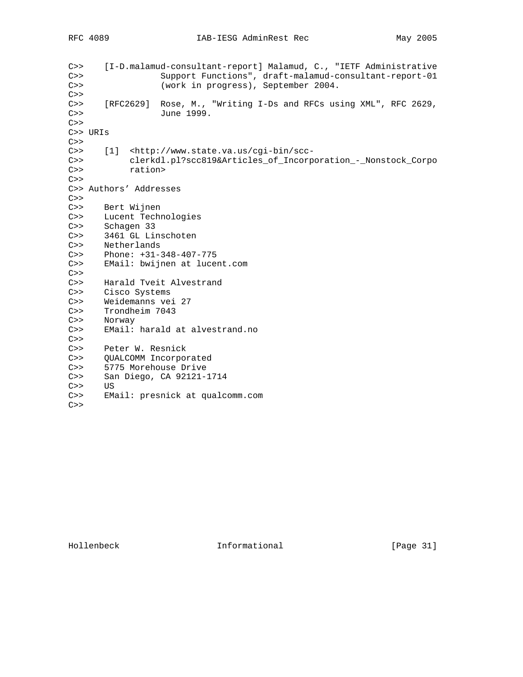```
C>> [I-D.malamud-consultant-report] Malamud, C., "IETF Administrative
C>> Support Functions", draft-malamud-consultant-report-01
C>> (work in progress), September 2004.
C>>C>> [RFC2629] Rose, M., "Writing I-Ds and RFCs using XML", RFC 2629,
C>> June 1999.
C>>C>> URIs
C>>C>> [1] <http://www.state.va.us/cgi-bin/scc-
C>> clerkdl.pl?scc819&Articles_of_Incorporation_-_Nonstock_Corpo
C>> ration>
C>>C>> Authors' Addresses
C>>C>> Bert Wijnen
C>> Lucent Technologies
C>> Schagen 33
C>> 3461 GL Linschoten
C>> Netherlands
C>> Phone: +31-348-407-775
C>> EMail: bwijnen at lucent.com
C>>C>> Harald Tveit Alvestrand
C>> Cisco Systems
C>> Weidemanns vei 27
C>> Trondheim 7043
C>> Norway
C>> EMail: harald at alvestrand.no
C>>C>> Peter W. Resnick
C>> QUALCOMM Incorporated
C>> 5775 Morehouse Drive
C>> San Diego, CA 92121-1714
C>> US
C>> EMail: presnick at qualcomm.com
C>>
```
Hollenbeck Informational [Page 31]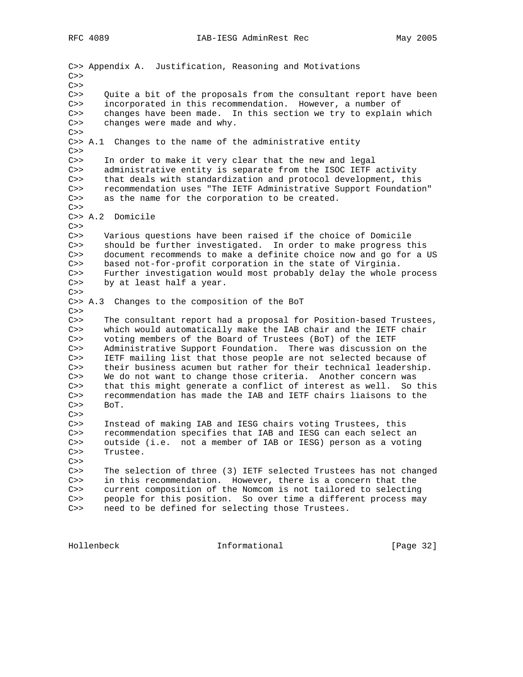C>> Appendix A. Justification, Reasoning and Motivations  $C>>$  $C>>$ C>> Quite a bit of the proposals from the consultant report have been C>> incorporated in this recommendation. However, a number of C>> changes have been made. In this section we try to explain changes have been made. In this section we try to explain which C>> changes were made and why.  $C>>$ C>> A.1 Changes to the name of the administrative entity  $C>>$ C>> In order to make it very clear that the new and legal C>> administrative entity is separate from the ISOC IETF activity C>> that deals with standardization and protocol development, this C>> recommendation uses "The IETF Administrative Support Foundation" C>> as the name for the corporation to be created.  $C>>$ C>> A.2 Domicile  $C>>$ C>> Various questions have been raised if the choice of Domicile C>> should be further investigated. In order to make progress this C>> document recommends to make a definite choice now and go for a US C>> based not-for-profit corporation in the state of Virginia. C>> Further investigation would most probably delay the whole process C>> by at least half a year.  $C>>$ C>> A.3 Changes to the composition of the BoT  $C>>$ C>> The consultant report had a proposal for Position-based Trustees, C>> which would automatically make the IAB chair and the IETF chair C>> voting members of the Board of Trustees (BoT) of the IETF C>> Administrative Support Foundation. There was discussion on the C>> IETF mailing list that those people are not selected because of C>> their business acumen but rather for their technical leadership. C>> We do not want to change those criteria. Another concern was C>> that this might generate a conflict of interest as well. So this C>> recommendation has made the IAB and IETF chairs liaisons to the C>> BoT.  $C>>$ C>> Instead of making IAB and IESG chairs voting Trustees, this C>> recommendation specifies that IAB and IESG can each select an C>> outside (i.e. not a member of IAB or IESG) person as a voting C>> Trustee.  $C>>$ C>> The selection of three (3) IETF selected Trustees has not changed C>> in this recommendation. However, there is a concern that the C>> current composition of the Nomcom is not tailored to selecting C>> people for this position. So over time a different process may C>> need to be defined for selecting those Trustees.

Hollenbeck Informational [Page 32]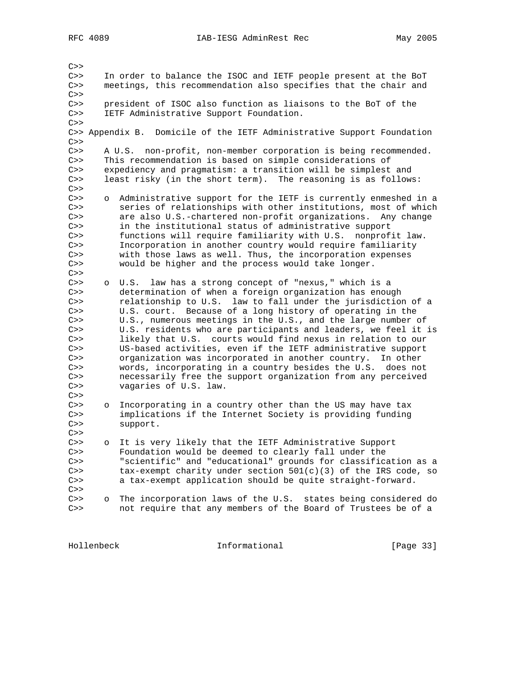$C>>$ 

RFC 4089 IAB-IESG AdminRest Rec May 2005

C>> In order to balance the ISOC and IETF people present at the BoT C>> meetings, this recommendation also specifies that the chair and  $C>>$ C>> president of ISOC also function as liaisons to the BoT of the C>> IETF Administrative Support Foundation.  $C>>$ C>> Appendix B. Domicile of the IETF Administrative Support Foundation  $C>>$ C>> A U.S. non-profit, non-member corporation is being recommended. C>> This recommendation is based on simple considerations of C>> expediency and pragmatism: a transition will be simplest and C>> least risky (in the short term). The reasoning is as follows:  $C>>$ C>> o Administrative support for the IETF is currently enmeshed in a C>> series of relationships with other institutions, most of which C>> are also U.S.-chartered non-profit organizations. Any change C>> in the institutional status of administrative support C>> functions will require familiarity with U.S. nonprofit law. C>> Incorporation in another country would require familiarity C>> with those laws as well. Thus, the incorporation expenses C>> would be higher and the process would take longer.  $C>>$ C>> o U.S. law has a strong concept of "nexus," which is a C>> determination of when a foreign organization has enough C>> relationship to U.S. law to fall under the jurisdiction of a C>> U.S. court. Because of a long history of operating in the C>> U.S., numerous meetings in the U.S., and the large number of C>> U.S. residents who are participants and leaders, we feel it is C>> likely that U.S. courts would find nexus in relation to our C>> US-based activities, even if the IETF administrative support C>> organization was incorporated in another country. In other C>> words, incorporating in a country besides the U.S. does not C>> necessarily free the support organization from any perceived C>> vagaries of U.S. law.  $C>>$ C>> o Incorporating in a country other than the US may have tax C>> implications if the Internet Society is providing funding C>> support.  $C>>$ C>> o It is very likely that the IETF Administrative Support C>> Foundation would be deemed to clearly fall under the C>> "scientific" and "educational" grounds for classification as a C>> tax-exempt charity under section  $501(c)(3)$  of the IRS code, so C>> a tax-exempt application should be quite straight-forward.  $C>>$ C>> o The incorporation laws of the U.S. states being considered do C>> not require that any members of the Board of Trustees be of a

Hollenbeck Informational [Page 33]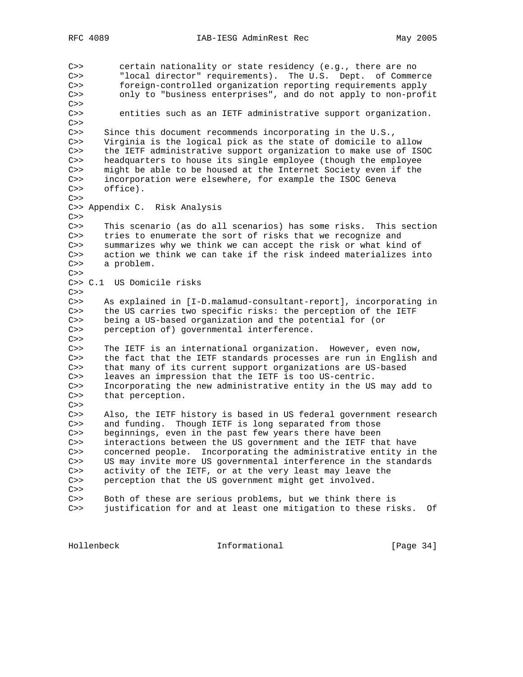C>> certain nationality or state residency (e.g., there are no C>> "local director" requirements). The U.S. Dept. of Commerce C>> foreign-controlled organization reporting requirements apply C>> only to "business enterprises", and do not apply to non-profit  $C>>$ C>> entities such as an IETF administrative support organization.  $C>>$ C>> Since this document recommends incorporating in the U.S., C>> Virginia is the logical pick as the state of domicile to allow C>> the IETF administrative support organization to make use of ISOC C>> headquarters to house its single employee (though the employee C>> might be able to be housed at the Internet Society even if the C>> incorporation were elsewhere, for example the ISOC Geneva C>> office).  $C>>$ C>> Appendix C. Risk Analysis  $C>>$ C>> This scenario (as do all scenarios) has some risks. This section C>> tries to enumerate the sort of risks that we recognize and C>> summarizes why we think we can accept the risk or what kind of C>> action we think we can take if the risk indeed materializes into C>> a problem.  $C>>$ C>> C.1 US Domicile risks  $C>>$ C>> As explained in [I-D.malamud-consultant-report], incorporating in C>> the US carries two specific risks: the perception of the IETF C>> being a US-based organization and the potential for (or C>> perception of) governmental interference.  $C>>$ C>> The IETF is an international organization. However, even now, C>> the fact that the IETF standards processes are run in English and C>> that many of its current support organizations are US-based C>> leaves an impression that the IETF is too US-centric. C>> Incorporating the new administrative entity in the US may add to C>> that perception.  $C>>$ C>> Also, the IETF history is based in US federal government research C>> and funding. Though IETF is long separated from those C>> beginnings, even in the past few years there have been C>> interactions between the US government and the IETF that have C>> concerned people. Incorporating the administrative entity in the C>> US may invite more US governmental interference in the standards US may invite more US governmental interference in the standards C>> activity of the IETF, or at the very least may leave the C>> perception that the US government might get involved.  $C>>$ C>> Both of these are serious problems, but we think there is C>> justification for and at least one mitigation to these risks. Of

Hollenbeck Informational [Page 34]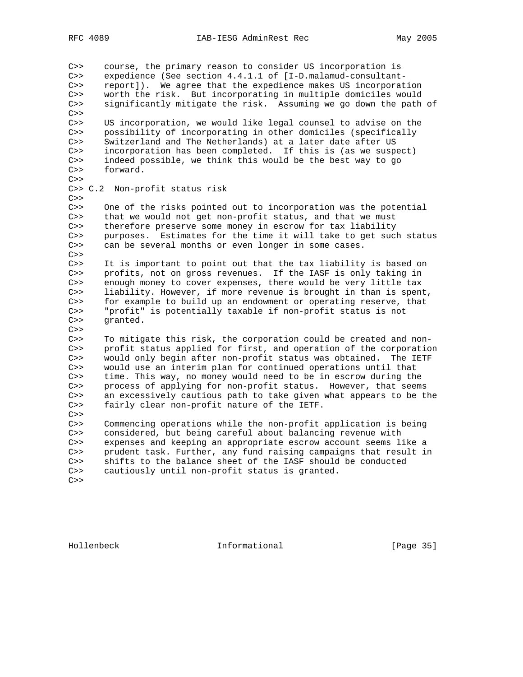C>> course, the primary reason to consider US incorporation is C>> expedience (See section 4.4.1.1 of [I-D.malamud-consultant-C>> report]). We agree that the expedience makes US incorporation C>> worth the risk. But incorporating in multiple domiciles would C>> significantly mitigate the risk. Assuming we go down the path of  $C>>$ C>> US incorporation, we would like legal counsel to advise on the C>> possibility of incorporating in other domiciles (specifically C>> Switzerland and The Netherlands) at a later date after US C>> incorporation has been completed. If this is (as we suspect) C>> indeed possible, we think this would be the best way to go C>> forward.  $C>>$ C>> C.2 Non-profit status risk  $C>>$ C>> One of the risks pointed out to incorporation was the potential C>> that we would not get non-profit status, and that we must C>> therefore preserve some money in escrow for tax liability C>> purposes. Estimates for the time it will take to get such status C>> can be several months or even longer in some cases.  $C>>$ C>> It is important to point out that the tax liability is based on C>> profits, not on gross revenues. If the IASF is only taking in C>> enough money to cover expenses, there would be very little tax C>> liability. However, if more revenue is brought in than is spent, C>> for example to build up an endowment or operating reserve, that C>> "profit" is potentially taxable if non-profit status is not C>> granted.  $C>>$ C>> To mitigate this risk, the corporation could be created and non-C>> profit status applied for first, and operation of the corporation C>> would only begin after non-profit status was obtained. The IETF C>> would use an interim plan for continued operations until that C>> time. This way, no money would need to be in escrow during the C>> process of applying for non-profit status. However, that seems C>> an excessively cautious path to take given what appears to be the C>> fairly clear non-profit nature of the IETF.  $C>>$ C>> Commencing operations while the non-profit application is being C>> considered, but being careful about balancing revenue with C>> expenses and keeping an appropriate escrow account seems like a C>> prudent task. Further, any fund raising campaigns that result in C>> shifts to the balance sheet of the IASF should be conducted C>> cautiously until non-profit status is granted.  $C>>$ 

Hollenbeck Informational [Page 35]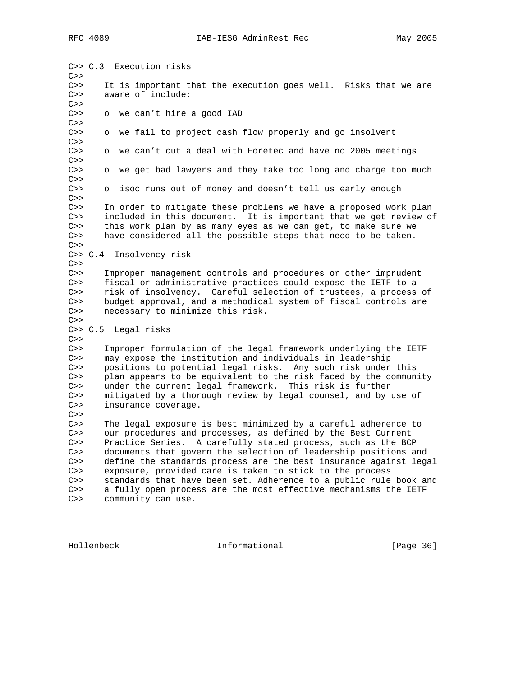C>> C.3 Execution risks  $C>>$ C>> It is important that the execution goes well. Risks that we are C>> aware of include:  $C>>$ C>> o we can't hire a good IAD  $C>>$ C>> o we fail to project cash flow properly and go insolvent  $C>>$ C>> o we can't cut a deal with Foretec and have no 2005 meetings  $C>>$ C>> o we get bad lawyers and they take too long and charge too much  $C>>$ C>> o isoc runs out of money and doesn't tell us early enough  $C>>$ C>> In order to mitigate these problems we have a proposed work plan C>> included in this document. It is important that we get review of C>> this work plan by as many eyes as we can get, to make sure we C>> have considered all the possible steps that need to be taken.  $C>>$ C>> C.4 Insolvency risk  $C>>$ C>> Improper management controls and procedures or other imprudent C>> fiscal or administrative practices could expose the IETF to a C>> risk of insolvency. Careful selection of trustees, a process of C>> budget approval, and a methodical system of fiscal controls are C>> necessary to minimize this risk.  $C>>$ C>> C.5 Legal risks  $C>>$ C>> Improper formulation of the legal framework underlying the IETF C>> may expose the institution and individuals in leadership C>> positions to potential legal risks. Any such risk under this C>> plan appears to be equivalent to the risk faced by the community C>> under the current legal framework. This risk is further C>> mitigated by a thorough review by legal counsel, and by use of C>> insurance coverage.  $C>>$ C>> The legal exposure is best minimized by a careful adherence to C>> our procedures and processes, as defined by the Best Current C>> Practice Series. A carefully stated process, such as the BCP C>> documents that govern the selection of leadership positions and C>> define the standards process are the best insurance against legal C>> exposure, provided care is taken to stick to the process C>> standards that have been set. Adherence to a public rule book and C>> a fully open process are the most effective mechanisms the IETF C>> community can use.

Hollenbeck **Informational** [Page 36]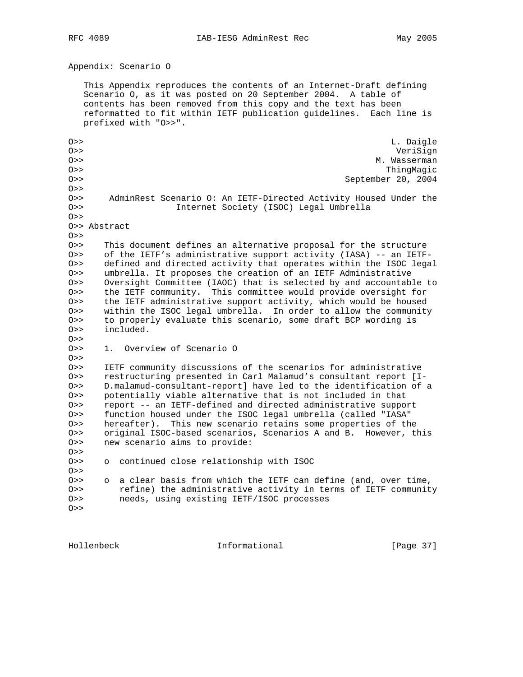Appendix: Scenario O

 This Appendix reproduces the contents of an Internet-Draft defining Scenario O, as it was posted on 20 September 2004. A table of contents has been removed from this copy and the text has been reformatted to fit within IETF publication guidelines. Each line is prefixed with "O>>".

O>> L. Daigle O>> VeriSign O>> M. Wasserman O>> ThingMagic O>> September 20, 2004 O>> O>> AdminRest Scenario O: An IETF-Directed Activity Housed Under the O>> Internet Society (ISOC) Legal Umbrella  $O>>$ O>> Abstract  $O>>$ O>> This document defines an alternative proposal for the structure O>> of the IETF's administrative support activity (IASA) -- an IETF-O>> defined and directed activity that operates within the ISOC legal O>> umbrella. It proposes the creation of an IETF Administrative O>> Oversight Committee (IAOC) that is selected by and accountable to O>> the IETF community. This committee would provide oversight for O>> the IETF administrative support activity, which would be housed O>> within the ISOC legal umbrella. In order to allow the community O>> to properly evaluate this scenario, some draft BCP wording is O>> included.  $O>$ O>> 1. Overview of Scenario O O>> O>> IETF community discussions of the scenarios for administrative O>> restructuring presented in Carl Malamud's consultant report [I-O>> D.malamud-consultant-report] have led to the identification of a O>> potentially viable alternative that is not included in that O>> report -- an IETF-defined and directed administrative support O>> function housed under the ISOC legal umbrella (called "IASA" O>> hereafter). This new scenario retains some properties of the O>> original ISOC-based scenarios, Scenarios A and B. However, this O>> new scenario aims to provide:  $O>>$ O>> o continued close relationship with ISOC O>> O>> o a clear basis from which the IETF can define (and, over time, O>> refine) the administrative activity in terms of IETF community O>> needs, using existing IETF/ISOC processes  $O>>$ 

Hollenbeck Informational [Page 37]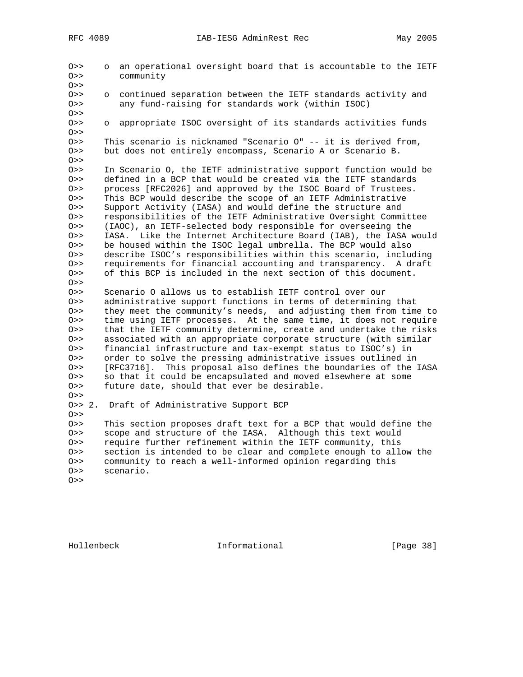O>> o an operational oversight board that is accountable to the IETF O>> community  $O>>$ O>> o continued separation between the IETF standards activity and O>> any fund-raising for standards work (within ISOC) O>><br>O>> O>> o appropriate ISOC oversight of its standards activities funds O>> O>> This scenario is nicknamed "Scenario O" -- it is derived from, O>> but does not entirely encompass, Scenario A or Scenario B.  $O>>$ O>> In Scenario O, the IETF administrative support function would be O>> defined in a BCP that would be created via the IETF standards O>> process [RFC2026] and approved by the ISOC Board of Trustees. O>> This BCP would describe the scope of an IETF Administrative O>> Support Activity (IASA) and would define the structure and O>> responsibilities of the IETF Administrative Oversight Committee O>> (IAOC), an IETF-selected body responsible for overseeing the O>> IASA. Like the Internet Architecture Board (IAB), the IASA would O>> be housed within the ISOC legal umbrella. The BCP would also O>> describe ISOC's responsibilities within this scenario, including O>> requirements for financial accounting and transparency. A draft O>> of this BCP is included in the next section of this document.  $O>>$ O>> Scenario O allows us to establish IETF control over our O>> administrative support functions in terms of determining that O>> they meet the community's needs, and adjusting them from time to O>> time using IETF processes. At the same time, it does not require O>> that the IETF community determine, create and undertake the risks O>> associated with an appropriate corporate structure (with similar O>> financial infrastructure and tax-exempt status to ISOC's) in O>> order to solve the pressing administrative issues outlined in O>> [RFC3716]. This proposal also defines the boundaries of the IASA O>> so that it could be encapsulated and moved elsewhere at some O>> future date, should that ever be desirable.  $O>$ O>> 2. Draft of Administrative Support BCP O>> O>> This section proposes draft text for a BCP that would define the O>> scope and structure of the IASA. Although this text would O>> require further refinement within the IETF community, this O>> section is intended to be clear and complete enough to allow the O>> community to reach a well-informed opinion regarding this O>> scenario.  $O>>$ 

Hollenbeck Informational [Page 38]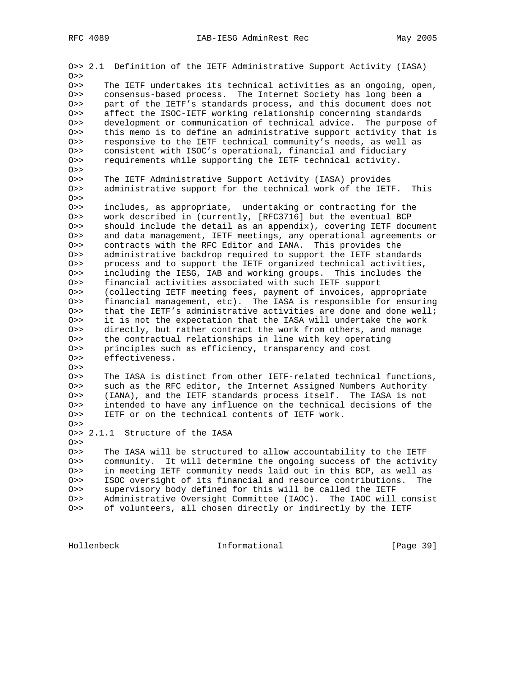O>> 2.1 Definition of the IETF Administrative Support Activity (IASA)  $O>>$ O>> The IETF undertakes its technical activities as an ongoing, open, O>> consensus-based process. The Internet Society has long been a O>> part of the IETF's standards process, and this document does not O>> affect the ISOC-IETF working relationship concerning standards<br>O>> development or communication of technical advice. The purpose development or communication of technical advice. The purpose of O>> this memo is to define an administrative support activity that is O>> responsive to the IETF technical community's needs, as well as O>> consistent with ISOC's operational, financial and fiduciary O>> requirements while supporting the IETF technical activity.  $O>>$ O>> The IETF Administrative Support Activity (IASA) provides O>> administrative support for the technical work of the IETF. This  $O>$ O>> includes, as appropriate, undertaking or contracting for the O>> work described in (currently, [RFC3716] but the eventual BCP O>> should include the detail as an appendix), covering IETF document O>> and data management, IETF meetings, any operational agreements or O>> contracts with the RFC Editor and IANA. This provides the O>> administrative backdrop required to support the IETF standards O>> process and to support the IETF organized technical activities, O>> including the IESG, IAB and working groups. This includes the O>> financial activities associated with such IETF support O>> (collecting IETF meeting fees, payment of invoices, appropriate O>> financial management, etc). The IASA is responsible for ensuring O>> that the IETF's administrative activities are done and done well; O>> it is not the expectation that the IASA will undertake the work O>> directly, but rather contract the work from others, and manage O>> the contractual relationships in line with key operating O>> principles such as efficiency, transparency and cost O>> effectiveness.  $O>>$ O>> The IASA is distinct from other IETF-related technical functions, O>> such as the RFC editor, the Internet Assigned Numbers Authority O>> (IANA), and the IETF standards process itself. The IASA is not O>> intended to have any influence on the technical decisions of the O>> IETF or on the technical contents of IETF work.  $O>$ O>> 2.1.1 Structure of the IASA  $O>>$ O>> The IASA will be structured to allow accountability to the IETF O>> community. It will determine the ongoing success of the activity O>> in meeting IETF community needs laid out in this BCP, as well as O>> ISOC oversight of its financial and resource contributions. The O>> supervisory body defined for this will be called the IETF O>> Administrative Oversight Committee (IAOC). The IAOC will consist O>> of volunteers, all chosen directly or indirectly by the IETF

Hollenbeck Informational [Page 39]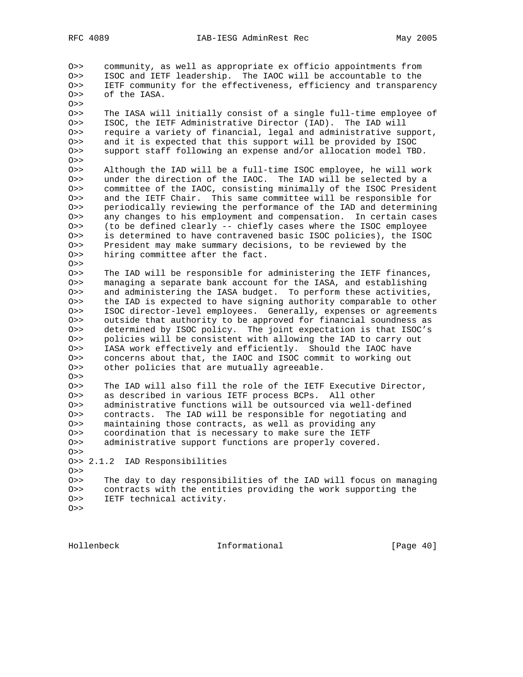O>> community, as well as appropriate ex officio appointments from O>> ISOC and IETF leadership. The IAOC will be accountable to the O>> IETF community for the effectiveness, efficiency and transparency O>> of the IASA.  $O>>$ O>> The IASA will initially consist of a single full-time employee of O>> ISOC, the IETF Administrative Director (IAD). The IAD will O>> require a variety of financial, legal and administrative support, O>> and it is expected that this support will be provided by ISOC O>> support staff following an expense and/or allocation model TBD.  $O>>$ O>> Although the IAD will be a full-time ISOC employee, he will work O>> under the direction of the IAOC. The IAD will be selected by a O>> committee of the IAOC, consisting minimally of the ISOC President O>> and the IETF Chair. This same committee will be responsible for O>> periodically reviewing the performance of the IAD and determining O>> any changes to his employment and compensation. In certain cases O>> (to be defined clearly -- chiefly cases where the ISOC employee O>> is determined to have contravened basic ISOC policies), the ISOC O>> President may make summary decisions, to be reviewed by the O>> hiring committee after the fact.  $O>>$ O>> The IAD will be responsible for administering the IETF finances, O>> managing a separate bank account for the IASA, and establishing O>> and administering the IASA budget. To perform these activities, O>> the IAD is expected to have signing authority comparable to other O>> ISOC director-level employees. Generally, expenses or agreements O>> outside that authority to be approved for financial soundness as O>> determined by ISOC policy. The joint expectation is that ISOC's O>> policies will be consistent with allowing the IAD to carry out O>> IASA work effectively and efficiently. Should the IAOC have O>> concerns about that, the IAOC and ISOC commit to working out O>> other policies that are mutually agreeable.  $O>$ O>> The IAD will also fill the role of the IETF Executive Director, O>> as described in various IETF process BCPs. All other O>> administrative functions will be outsourced via well-defined O>> contracts. The IAD will be responsible for negotiating and O>> maintaining those contracts, as well as providing any O>> coordination that is necessary to make sure the IETF O>> administrative support functions are properly covered.  $0>$ O>> 2.1.2 IAD Responsibilities O>> O>> The day to day responsibilities of the IAD will focus on managing O>> contracts with the entities providing the work supporting the O>> IETF technical activity.  $O>$ 

Hollenbeck Informational [Page 40]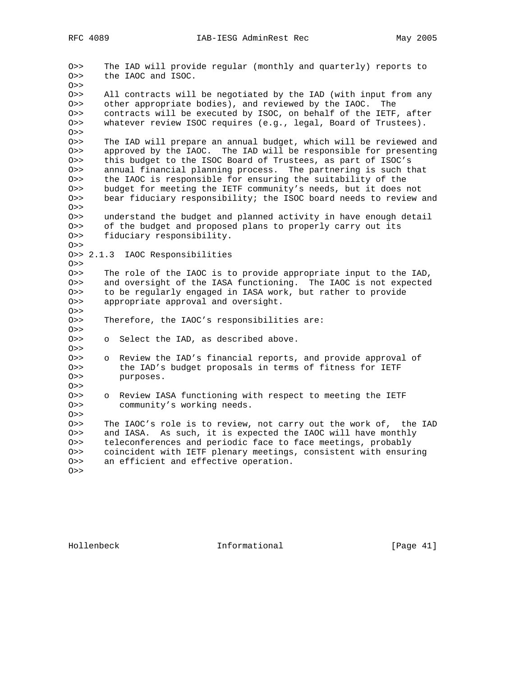O>> The IAD will provide regular (monthly and quarterly) reports to O>> the IAOC and ISOC.  $O>>$ O>> All contracts will be negotiated by the IAD (with input from any O>> other appropriate bodies), and reviewed by the IAOC. The O>> contracts will be executed by ISOC, on behalf of the IETF, after O>> whatever review ISOC requires (e.g., legal, Board of Trustees). O>> O>> The IAD will prepare an annual budget, which will be reviewed and O>> approved by the IAOC. The IAD will be responsible for presenting O>> this budget to the ISOC Board of Trustees, as part of ISOC's O>> annual financial planning process. The partnering is such that O>> the IAOC is responsible for ensuring the suitability of the O>> budget for meeting the IETF community's needs, but it does not O>> bear fiduciary responsibility; the ISOC board needs to review and  $O>>$ O>> understand the budget and planned activity in have enough detail O>> of the budget and proposed plans to properly carry out its O>> fiduciary responsibility. O>> O>> 2.1.3 IAOC Responsibilities  $O>>$ O>> The role of the IAOC is to provide appropriate input to the IAD, O>> and oversight of the IASA functioning. The IAOC is not expected O>> to be regularly engaged in IASA work, but rather to provide O>> appropriate approval and oversight.  $O>>$ O>> Therefore, the IAOC's responsibilities are:  $O>>$ O>> o Select the IAD, as described above. O>> O>> o Review the IAD's financial reports, and provide approval of O>> the IAD's budget proposals in terms of fitness for IETF O>> purposes.  $O>>$ O>> o Review IASA functioning with respect to meeting the IETF O>> community's working needs. O>> O>> The IAOC's role is to review, not carry out the work of, the IAD O>> and IASA. As such, it is expected the IAOC will have monthly O>> teleconferences and periodic face to face meetings, probably O>> coincident with IETF plenary meetings, consistent with ensuring O>> an efficient and effective operation. O>>

Hollenbeck Informational [Page 41]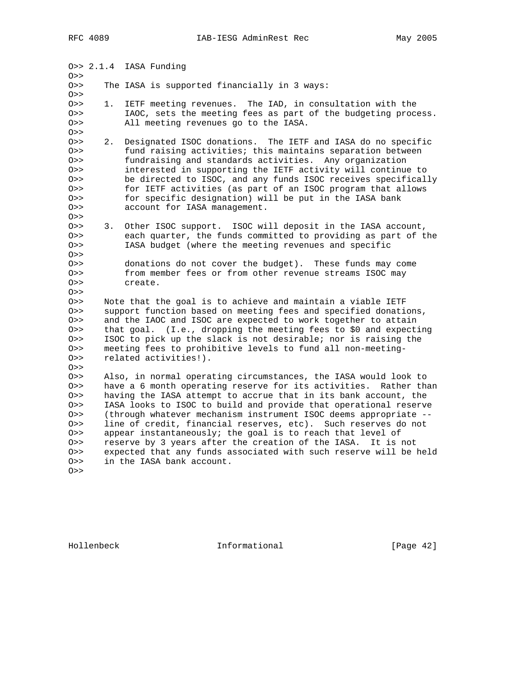O>> 2.1.4 IASA Funding O>> O>> The IASA is supported financially in 3 ways:  $O>$ O>> 1. IETF meeting revenues. The IAD, in consultation with the O>> IAOC, sets the meeting fees as part of the budgeting process. O>> All meeting revenues go to the IASA. O>> O>> 2. Designated ISOC donations. The IETF and IASA do no specific O>> fund raising activities; this maintains separation between O>> fundraising and standards activities. Any organization O>> interested in supporting the IETF activity will continue to O>> be directed to ISOC, and any funds ISOC receives specifically O>> for IETF activities (as part of an ISOC program that allows O>> for specific designation) will be put in the IASA bank O>> account for IASA management.  $O>>$ O>> 3. Other ISOC support. ISOC will deposit in the IASA account, O>> each quarter, the funds committed to providing as part of the O>> IASA budget (where the meeting revenues and specific O>> O>> donations do not cover the budget). These funds may come O>> from member fees or from other revenue streams ISOC may O>> create.  $O>>$ O>> Note that the goal is to achieve and maintain a viable IETF O>> support function based on meeting fees and specified donations, O>> and the IAOC and ISOC are expected to work together to attain O>> that goal. (I.e., dropping the meeting fees to \$0 and expecting O>> ISOC to pick up the slack is not desirable; nor is raising the O>> meeting fees to prohibitive levels to fund all non-meeting-O>> related activities!).  $O>>$ O>> Also, in normal operating circumstances, the IASA would look to O>> have a 6 month operating reserve for its activities. Rather than O>> having the IASA attempt to accrue that in its bank account, the O>> IASA looks to ISOC to build and provide that operational reserve O>> (through whatever mechanism instrument ISOC deems appropriate -- O>> line of credit, financial reserves, etc). Such reserves do not O>> appear instantaneously; the goal is to reach that level of O>> reserve by 3 years after the creation of the IASA. It is not O>> expected that any funds associated with such reserve will be held O>> in the IASA bank account. O>>

Hollenbeck Informational [Page 42]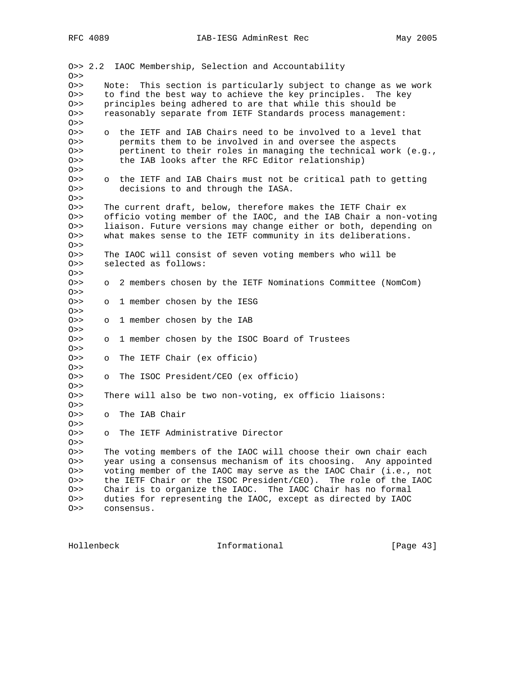O>> 2.2 IAOC Membership, Selection and Accountability O>> O>> Note: This section is particularly subject to change as we work O>> to find the best way to achieve the key principles. The key O>> principles being adhered to are that while this should be O>> reasonably separate from IETF Standards process management:  $O>>$ O>> o the IETF and IAB Chairs need to be involved to a level that O>> permits them to be involved in and oversee the aspects O>> pertinent to their roles in managing the technical work (e.g., O>> the IAB looks after the RFC Editor relationship)  $O>>$ O>> o the IETF and IAB Chairs must not be critical path to getting O>> decisions to and through the IASA.  $O>>$ O>> The current draft, below, therefore makes the IETF Chair ex O>> officio voting member of the IAOC, and the IAB Chair a non-voting O>> liaison. Future versions may change either or both, depending on O>> what makes sense to the IETF community in its deliberations. O>> O>> The IAOC will consist of seven voting members who will be O>> selected as follows:  $O>>$ O>> o 2 members chosen by the IETF Nominations Committee (NomCom)  $O>>$ O>> o 1 member chosen by the IESG  $O>>$ O>> o 1 member chosen by the IAB  $O>>$ O>> o 1 member chosen by the ISOC Board of Trustees  $O>>$ O>> o The IETF Chair (ex officio)  $O>>$ O>> o The ISOC President/CEO (ex officio)  $O>>$ O>> There will also be two non-voting, ex officio liaisons:  $O>>$ O>> o The IAB Chair  $O>>$ O>> o The IETF Administrative Director  $O>>$ O>> The voting members of the IAOC will choose their own chair each O>> year using a consensus mechanism of its choosing. Any appointed O>> voting member of the IAOC may serve as the IAOC Chair (i.e., not O>> the IETF Chair or the ISOC President/CEO). The role of the IAOC O>> Chair is to organize the IAOC. The IAOC Chair has no formal O>> duties for representing the IAOC, except as directed by IAOC O>> consensus.

Hollenbeck Informational [Page 43]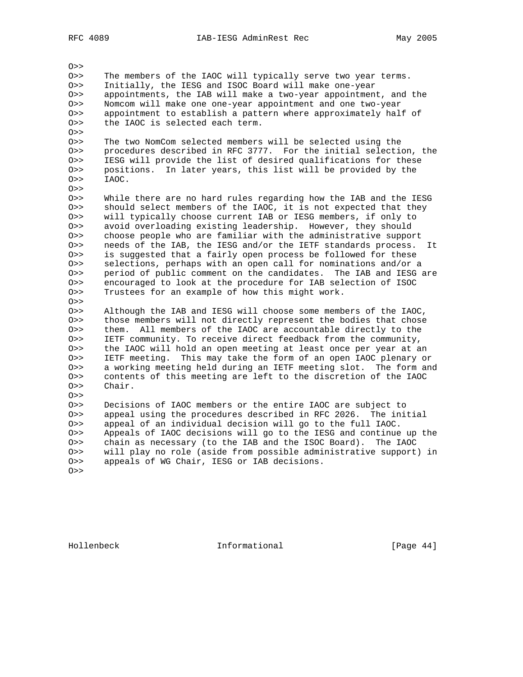$O>$ 

O>> The members of the IAOC will typically serve two year terms. O>> Initially, the IESG and ISOC Board will make one-year O>> appointments, the IAB will make a two-year appointment, and the O>> Nomcom will make one one-year appointment and one two-year O>> appointment to establish a pattern where approximately half of O>> the IAOC is selected each term. the IAOC is selected each term. O>> O>> The two NomCom selected members will be selected using the O>> procedures described in RFC 3777. For the initial selection, the O>> IESG will provide the list of desired qualifications for these O>> positions. In later years, this list will be provided by the O>> IAOC.  $O>>$ O>> While there are no hard rules regarding how the IAB and the IESG O>> should select members of the IAOC, it is not expected that they O>> will typically choose current IAB or IESG members, if only to O>> avoid overloading existing leadership. However, they should O>> choose people who are familiar with the administrative support O>> needs of the IAB, the IESG and/or the IETF standards process. It O>> is suggested that a fairly open process be followed for these O>> selections, perhaps with an open call for nominations and/or a O>> period of public comment on the candidates. The IAB and IESG are O>> encouraged to look at the procedure for IAB selection of ISOC O>> Trustees for an example of how this might work.  $O>>$ O>> Although the IAB and IESG will choose some members of the IAOC, O>> those members will not directly represent the bodies that chose O>> them. All members of the IAOC are accountable directly to the O>> IETF community. To receive direct feedback from the community, O>> the IAOC will hold an open meeting at least once per year at an O>> IETF meeting. This may take the form of an open IAOC plenary or O>> a working meeting held during an IETF meeting slot. The form and O>> contents of this meeting are left to the discretion of the IAOC O>> Chair.  $O>>$ O>> Decisions of IAOC members or the entire IAOC are subject to O>> appeal using the procedures described in RFC 2026. The initial O>> appeal of an individual decision will go to the full IAOC. O>> Appeals of IAOC decisions will go to the IESG and continue up the O>> chain as necessary (to the IAB and the ISOC Board). The IAOC O>> will play no role (aside from possible administrative support) in O>> appeals of WG Chair, IESG or IAB decisions. O>>

Hollenbeck Informational [Page 44]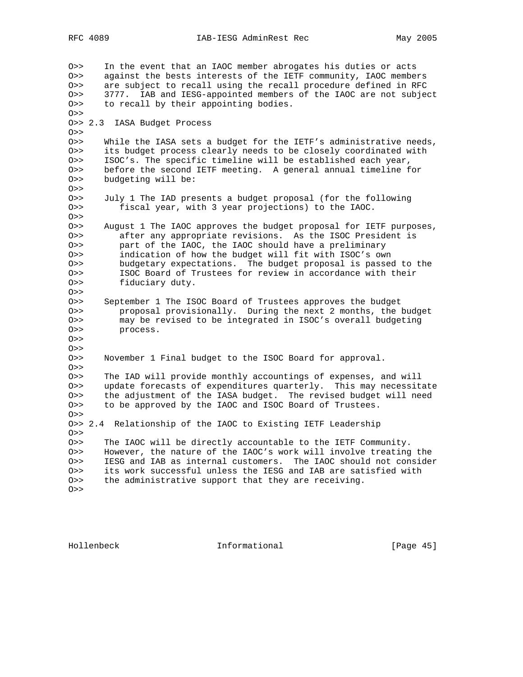O>> In the event that an IAOC member abrogates his duties or acts O>> against the bests interests of the IETF community, IAOC members O>> are subject to recall using the recall procedure defined in RFC O>> 3777. IAB and IESG-appointed members of the IAOC are not subject O>> to recall by their appointing bodies.  $O>>$ O>> 2.3 IASA Budget Process O>> O>> While the IASA sets a budget for the IETF's administrative needs, O>> its budget process clearly needs to be closely coordinated with O>> ISOC's. The specific timeline will be established each year, O>> before the second IETF meeting. A general annual timeline for O>> budgeting will be: O>> O>> July 1 The IAD presents a budget proposal (for the following O>> fiscal year, with 3 year projections) to the IAOC.  $O>>$ O>> August 1 The IAOC approves the budget proposal for IETF purposes, O>> after any appropriate revisions. As the ISOC President is O>> part of the IAOC, the IAOC should have a preliminary O>> indication of how the budget will fit with ISOC's own O>> budgetary expectations. The budget proposal is passed to the O>> ISOC Board of Trustees for review in accordance with their O>> fiduciary duty.  $O>>$ O>> September 1 The ISOC Board of Trustees approves the budget O>> proposal provisionally. During the next 2 months, the budget O>> may be revised to be integrated in ISOC's overall budgeting O>> process.  $O>>$  $O>>$ O>> November 1 Final budget to the ISOC Board for approval.  $O>>$ O>> The IAD will provide monthly accountings of expenses, and will O>> update forecasts of expenditures quarterly. This may necessitate O>> the adjustment of the IASA budget. The revised budget will need O>> to be approved by the IAOC and ISOC Board of Trustees. O>> O>> 2.4 Relationship of the IAOC to Existing IETF Leadership  $O>$ O>> The IAOC will be directly accountable to the IETF Community. O>> However, the nature of the IAOC's work will involve treating the O>> IESG and IAB as internal customers. The IAOC should not consider O>> its work successful unless the IESG and IAB are satisfied with O>> the administrative support that they are receiving. O>>

Hollenbeck Informational [Page 45]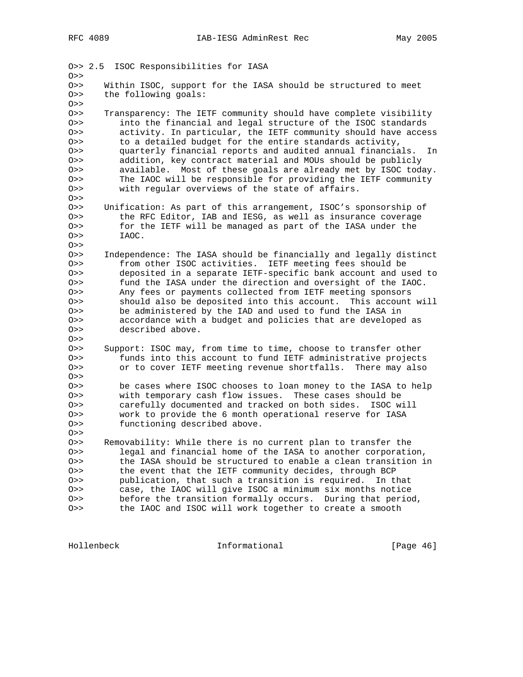| 0>>        | 0>> 2.5<br>ISOC Responsibilities for IASA                                                                                       |  |  |  |  |  |  |  |
|------------|---------------------------------------------------------------------------------------------------------------------------------|--|--|--|--|--|--|--|
| 0>>        | Within ISOC, support for the IASA should be structured to meet                                                                  |  |  |  |  |  |  |  |
| 0>>        | the following goals:                                                                                                            |  |  |  |  |  |  |  |
| 0>>        |                                                                                                                                 |  |  |  |  |  |  |  |
| 0>>        | Transparency: The IETF community should have complete visibility                                                                |  |  |  |  |  |  |  |
| 0>>        | into the financial and legal structure of the ISOC standards                                                                    |  |  |  |  |  |  |  |
| 0>>        | activity. In particular, the IETF community should have access                                                                  |  |  |  |  |  |  |  |
| 0>>        | to a detailed budget for the entire standards activity,                                                                         |  |  |  |  |  |  |  |
| 0>>        | quarterly financial reports and audited annual financials.<br>In<br>addition, key contract material and MOUs should be publicly |  |  |  |  |  |  |  |
| 0>><br>0>> | available. Most of these goals are already met by ISOC today.                                                                   |  |  |  |  |  |  |  |
| 0>>        | The IAOC will be responsible for providing the IETF community                                                                   |  |  |  |  |  |  |  |
| 0>>        | with regular overviews of the state of affairs.                                                                                 |  |  |  |  |  |  |  |
| 0>>        |                                                                                                                                 |  |  |  |  |  |  |  |
| 0>>        | Unification: As part of this arrangement, ISOC's sponsorship of                                                                 |  |  |  |  |  |  |  |
| 0>>        | the RFC Editor, IAB and IESG, as well as insurance coverage                                                                     |  |  |  |  |  |  |  |
| 0>>        | for the IETF will be managed as part of the IASA under the                                                                      |  |  |  |  |  |  |  |
| 0>>        | IAOC.                                                                                                                           |  |  |  |  |  |  |  |
| 0>>        |                                                                                                                                 |  |  |  |  |  |  |  |
| $0$ >>     | Independence: The IASA should be financially and legally distinct                                                               |  |  |  |  |  |  |  |
| 0>>        | from other ISOC activities. IETF meeting fees should be                                                                         |  |  |  |  |  |  |  |
| 0>>        | deposited in a separate IETF-specific bank account and used to                                                                  |  |  |  |  |  |  |  |
| 0>>        | fund the IASA under the direction and oversight of the IAOC.                                                                    |  |  |  |  |  |  |  |
| 0>>        | Any fees or payments collected from IETF meeting sponsors                                                                       |  |  |  |  |  |  |  |
| 0>>        | should also be deposited into this account. This account will                                                                   |  |  |  |  |  |  |  |
| 0 >        | be administered by the IAD and used to fund the IASA in                                                                         |  |  |  |  |  |  |  |
| 0 >        | accordance with a budget and policies that are developed as                                                                     |  |  |  |  |  |  |  |
| 0>>        | described above.                                                                                                                |  |  |  |  |  |  |  |
| 0>>        |                                                                                                                                 |  |  |  |  |  |  |  |
| 0>><br>0>> | Support: ISOC may, from time to time, choose to transfer other<br>funds into this account to fund IETF administrative projects  |  |  |  |  |  |  |  |
| 0 >        | or to cover IETF meeting revenue shortfalls. There may also                                                                     |  |  |  |  |  |  |  |
| 0>>        |                                                                                                                                 |  |  |  |  |  |  |  |
| 0>>        | be cases where ISOC chooses to loan money to the IASA to help                                                                   |  |  |  |  |  |  |  |
| 0>>        | with temporary cash flow issues. These cases should be                                                                          |  |  |  |  |  |  |  |
| 0>>        | carefully documented and tracked on both sides.<br>ISOC will                                                                    |  |  |  |  |  |  |  |
| 0>>        | work to provide the 6 month operational reserve for IASA                                                                        |  |  |  |  |  |  |  |
| 0 >        | functioning described above.                                                                                                    |  |  |  |  |  |  |  |
| 0 >        |                                                                                                                                 |  |  |  |  |  |  |  |
| 0>>        | Removability: While there is no current plan to transfer the                                                                    |  |  |  |  |  |  |  |
| 0>>        | legal and financial home of the IASA to another corporation,                                                                    |  |  |  |  |  |  |  |
| 0 >        | the IASA should be structured to enable a clean transition in                                                                   |  |  |  |  |  |  |  |
| 0>>        | the event that the IETF community decides, through BCP                                                                          |  |  |  |  |  |  |  |
| O>         | publication, that such a transition is required.<br>In that                                                                     |  |  |  |  |  |  |  |
| O>         | case, the IAOC will give ISOC a minimum six months notice                                                                       |  |  |  |  |  |  |  |
| 0>>        | before the transition formally occurs.<br>During that period,                                                                   |  |  |  |  |  |  |  |
| 0 >        | the IAOC and ISOC will work together to create a smooth                                                                         |  |  |  |  |  |  |  |

Hollenbeck **Informational** [Page 46]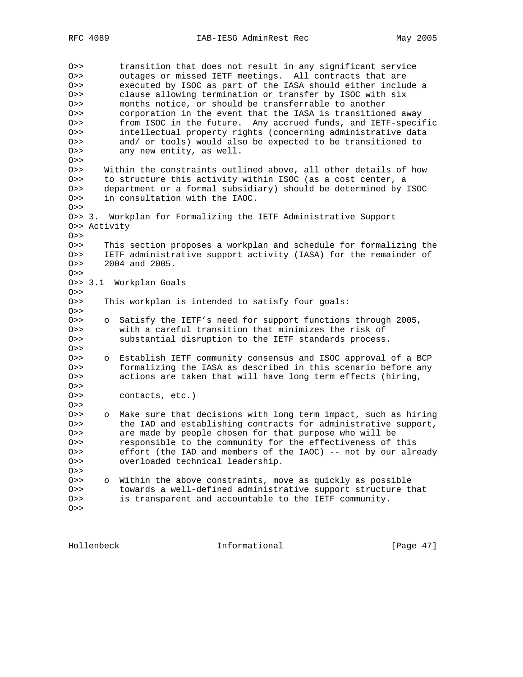O>> transition that does not result in any significant service O>> outages or missed IETF meetings. All contracts that are O>> executed by ISOC as part of the IASA should either include a O>> clause allowing termination or transfer by ISOC with six O>> months notice, or should be transferrable to another O>> corporation in the event that the IASA is transitioned away O>> from ISOC in the future. Any accrued funds, and IETF-specific O>> intellectual property rights (concerning administrative data O>> and/ or tools) would also be expected to be transitioned to O>> any new entity, as well.  $O>>$ O>> Within the constraints outlined above, all other details of how O>> to structure this activity within ISOC (as a cost center, a O>> department or a formal subsidiary) should be determined by ISOC O>> in consultation with the IAOC.  $O>>$ O>> 3. Workplan for Formalizing the IETF Administrative Support O>> Activity  $O>>$ O>> This section proposes a workplan and schedule for formalizing the O>> IETF administrative support activity (IASA) for the remainder of O>> 2004 and 2005.  $O>>$ O>> 3.1 Workplan Goals  $O>$ O>> This workplan is intended to satisfy four goals:  $O>>$ O>> o Satisfy the IETF's need for support functions through 2005, O>> with a careful transition that minimizes the risk of O>> substantial disruption to the IETF standards process.  $O>>$ O>> o Establish IETF community consensus and ISOC approval of a BCP O>> formalizing the IASA as described in this scenario before any O>> actions are taken that will have long term effects (hiring,  $O>>$ O>> contacts, etc.)  $O>>$ O>> o Make sure that decisions with long term impact, such as hiring O>> the IAD and establishing contracts for administrative support, O>> are made by people chosen for that purpose who will be O>> responsible to the community for the effectiveness of this O>> effort (the IAD and members of the IAOC) -- not by our already O>> overloaded technical leadership.  $O>>$ O>> o Within the above constraints, move as quickly as possible O>> towards a well-defined administrative support structure that O>> is transparent and accountable to the IETF community.  $O>>$ 

Hollenbeck Informational [Page 47]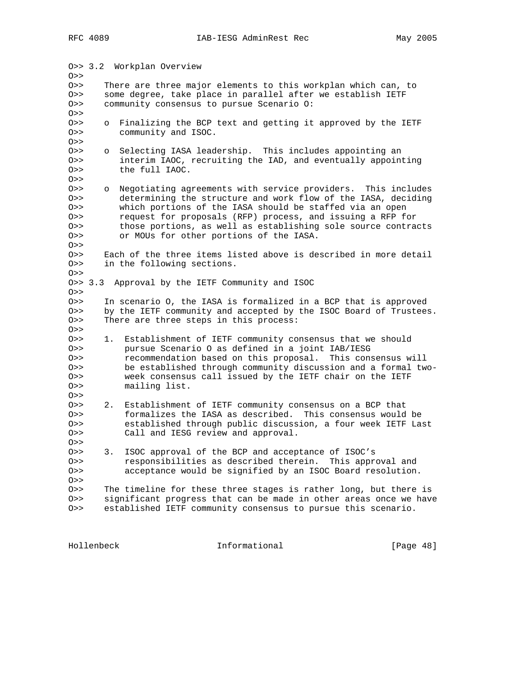O>> 3.2 Workplan Overview O>> O>> There are three major elements to this workplan which can, to O>> some degree, take place in parallel after we establish IETF O>> community consensus to pursue Scenario O:  $O>>$ O>> o Finalizing the BCP text and getting it approved by the IETF O>> community and ISOC.  $O>>$ O>> o Selecting IASA leadership. This includes appointing an O>> interim IAOC, recruiting the IAD, and eventually appointing O>> the full IAOC.  $O>>$ O>> o Negotiating agreements with service providers. This includes O>> determining the structure and work flow of the IASA, deciding O>> which portions of the IASA should be staffed via an open O>> request for proposals (RFP) process, and issuing a RFP for O>> those portions, as well as establishing sole source contracts O>> or MOUs for other portions of the IASA. O>> O>> Each of the three items listed above is described in more detail O>> in the following sections.  $O>>$ O>> 3.3 Approval by the IETF Community and ISOC  $O>$ O>> In scenario O, the IASA is formalized in a BCP that is approved O>> by the IETF community and accepted by the ISOC Board of Trustees. O>> There are three steps in this process:  $O>>$ O>> 1. Establishment of IETF community consensus that we should O>> pursue Scenario O as defined in a joint IAB/IESG O>> recommendation based on this proposal. This consensus will O>> be established through community discussion and a formal two-O>> week consensus call issued by the IETF chair on the IETF O>> mailing list.  $O>>$ O>> 2. Establishment of IETF community consensus on a BCP that O>> formalizes the IASA as described. This consensus would be O>> established through public discussion, a four week IETF Last O>> Call and IESG review and approval.  $O>>$ O>> 3. ISOC approval of the BCP and acceptance of ISOC's O>> responsibilities as described therein. This approval and O>> acceptance would be signified by an ISOC Board resolution.  $O>>$ O>> The timeline for these three stages is rather long, but there is O>> significant progress that can be made in other areas once we have O>> established IETF community consensus to pursue this scenario.

Hollenbeck Informational [Page 48]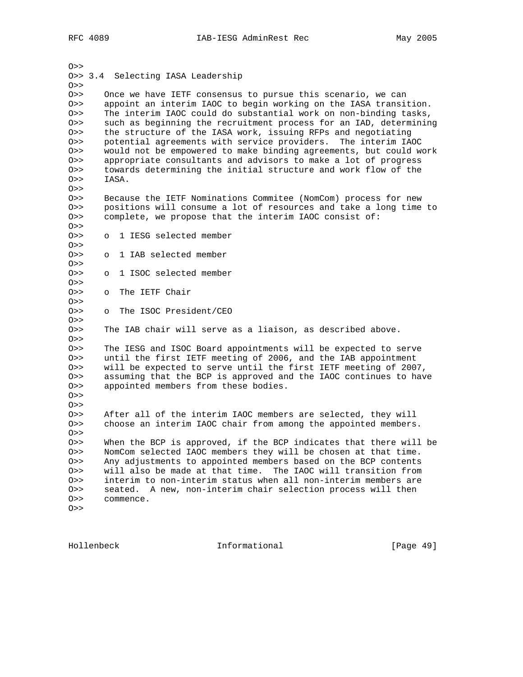| 0>>        | 0>> 3.4 Selecting IASA Leadership                                 |  |  |  |  |
|------------|-------------------------------------------------------------------|--|--|--|--|
|            |                                                                   |  |  |  |  |
|            |                                                                   |  |  |  |  |
| 0>>        | Once we have IETF consensus to pursue this scenario, we can       |  |  |  |  |
| 0>>        | appoint an interim IAOC to begin working on the IASA transition.  |  |  |  |  |
| 0>>        | The interim IAOC could do substantial work on non-binding tasks,  |  |  |  |  |
| 0>>        | such as beginning the recruitment process for an IAD, determining |  |  |  |  |
| 0>>        | the structure of the IASA work, issuing RFPs and negotiating      |  |  |  |  |
| 0>>        | potential agreements with service providers. The interim IAOC     |  |  |  |  |
| 0>>        | would not be empowered to make binding agreements, but could work |  |  |  |  |
| 0>>        | appropriate consultants and advisors to make a lot of progress    |  |  |  |  |
| 0>>        | towards determining the initial structure and work flow of the    |  |  |  |  |
| 0>>        | IASA.                                                             |  |  |  |  |
| 0>>        |                                                                   |  |  |  |  |
| 0>>        | Because the IETF Nominations Commitee (NomCom) process for new    |  |  |  |  |
| 0>>        | positions will consume a lot of resources and take a long time to |  |  |  |  |
| 0>>        | complete, we propose that the interim IAOC consist of:            |  |  |  |  |
| 0>>        |                                                                   |  |  |  |  |
| 0>>        | 1 IESG selected member<br>$\circ$                                 |  |  |  |  |
| 0>>        |                                                                   |  |  |  |  |
| 0>>        | 1 IAB selected member<br>$\circ$                                  |  |  |  |  |
| 0>>        |                                                                   |  |  |  |  |
| 0>>        | 1 ISOC selected member<br>$\circ$                                 |  |  |  |  |
| 0>>        |                                                                   |  |  |  |  |
| 0>>        | The IETF Chair<br>$\circ$                                         |  |  |  |  |
| 0>>        |                                                                   |  |  |  |  |
| 0>>        | The ISOC President/CEO<br>$\circ$                                 |  |  |  |  |
| 0>>        |                                                                   |  |  |  |  |
| 0>>        | The IAB chair will serve as a liaison, as described above.        |  |  |  |  |
| 0>>        |                                                                   |  |  |  |  |
| 0>>        | The IESG and ISOC Board appointments will be expected to serve    |  |  |  |  |
| 0>>        | until the first IETF meeting of 2006, and the IAB appointment     |  |  |  |  |
| 0>>        | will be expected to serve until the first IETF meeting of 2007,   |  |  |  |  |
| 0>>        | assuming that the BCP is approved and the IAOC continues to have  |  |  |  |  |
| 0>>        | appointed members from these bodies.                              |  |  |  |  |
| 0>>        |                                                                   |  |  |  |  |
| 0>>        |                                                                   |  |  |  |  |
| 0>>        | After all of the interim IAOC members are selected, they will     |  |  |  |  |
| 0>>        | choose an interim IAOC chair from among the appointed members.    |  |  |  |  |
| 0>>        |                                                                   |  |  |  |  |
| 0>>        | When the BCP is approved, if the BCP indicates that there will be |  |  |  |  |
| 0>>        | NomCom selected IAOC members they will be chosen at that time.    |  |  |  |  |
| 0>>        | Any adjustments to appointed members based on the BCP contents    |  |  |  |  |
|            | will also be made at that time.<br>The IAOC will transition from  |  |  |  |  |
|            |                                                                   |  |  |  |  |
| 0>><br>0>> | interim to non-interim status when all non-interim members are    |  |  |  |  |
| 0>>        | A new, non-interim chair selection process will then<br>seated.   |  |  |  |  |
| 0>>        | commence.                                                         |  |  |  |  |

Hollenbeck **Informational** [Page 49]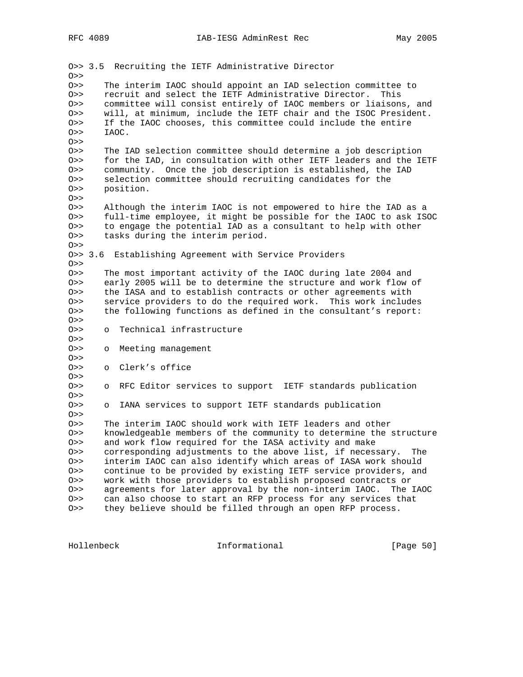O>> 3.5 Recruiting the IETF Administrative Director O>> O>> The interim IAOC should appoint an IAD selection committee to O>> recruit and select the IETF Administrative Director. This O>> committee will consist entirely of IAOC members or liaisons, and O>> will, at minimum, include the IETF chair and the ISOC President. O>> If the IAOC chooses, this committee could include the entire O>> IAOC.  $O>>$ O>> The IAD selection committee should determine a job description O>> for the IAD, in consultation with other IETF leaders and the IETF O>> community. Once the job description is established, the IAD O>> selection committee should recruiting candidates for the O>> position.  $0>$ O>> Although the interim IAOC is not empowered to hire the IAD as a O>> full-time employee, it might be possible for the IAOC to ask ISOC O>> to engage the potential IAD as a consultant to help with other O>> tasks during the interim period. O>> O>> 3.6 Establishing Agreement with Service Providers  $O>>$ O>> The most important activity of the IAOC during late 2004 and O>> early 2005 will be to determine the structure and work flow of O>> the IASA and to establish contracts or other agreements with O>> service providers to do the required work. This work includes O>> the following functions as defined in the consultant's report:  $O>$ O>> o Technical infrastructure  $O>>$ O>> o Meeting management O>> O>> o Clerk's office  $O>>$ O>> o RFC Editor services to support IETF standards publication  $O>$ O>> o IANA services to support IETF standards publication  $O>>$ O>> The interim IAOC should work with IETF leaders and other O>> knowledgeable members of the community to determine the structure O>> and work flow required for the IASA activity and make O>> corresponding adjustments to the above list, if necessary. The O>> interim IAOC can also identify which areas of IASA work should O>> continue to be provided by existing IETF service providers, and O>> work with those providers to establish proposed contracts or O>> agreements for later approval by the non-interim IAOC. The IAOC O>> can also choose to start an RFP process for any services that O>> they believe should be filled through an open RFP process.

Hollenbeck Informational [Page 50]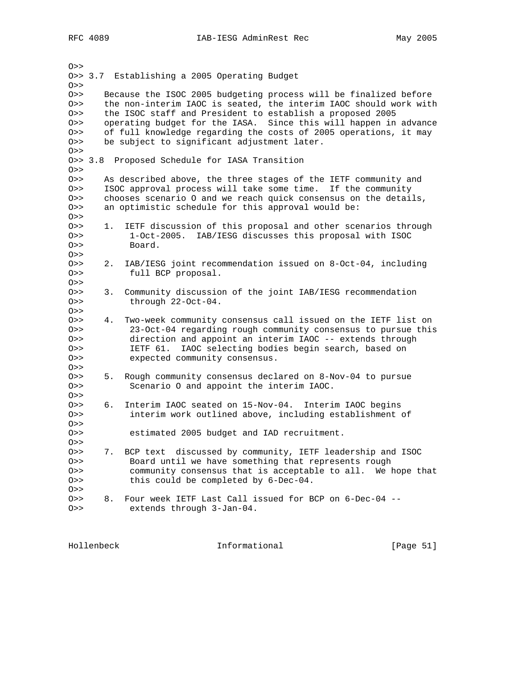RFC 4089 IAB-IESG AdminRest Rec May 2005

 $O>>$ O>> 3.7 Establishing a 2005 Operating Budget  $O>>$ O>> Because the ISOC 2005 budgeting process will be finalized before O>> the non-interim IAOC is seated, the interim IAOC should work with O>> the ISOC staff and President to establish a proposed 2005 O>> operating budget for the IASA. Since this will happen in advance O>> of full knowledge regarding the costs of 2005 operations, it may O>> be subject to significant adjustment later.  $O>>$ O>> 3.8 Proposed Schedule for IASA Transition  $O>$ O>> As described above, the three stages of the IETF community and O>> ISOC approval process will take some time. If the community O>> chooses scenario O and we reach quick consensus on the details, O>> an optimistic schedule for this approval would be:  $O>>$ O>> 1. IETF discussion of this proposal and other scenarios through O>> 1-Oct-2005. IAB/IESG discusses this proposal with ISOC O>> Board.  $O>>$ O>> 2. IAB/IESG joint recommendation issued on 8-Oct-04, including O>> full BCP proposal.  $O>>$ O>> 3. Community discussion of the joint IAB/IESG recommendation O>> through 22-Oct-04.  $O>>$ O>> 4. Two-week community consensus call issued on the IETF list on O>> 23-Oct-04 regarding rough community consensus to pursue this O>> direction and appoint an interim IAOC -- extends through O>> IETF 61. IAOC selecting bodies begin search, based on O>> expected community consensus.  $O>>$ O>> 5. Rough community consensus declared on 8-Nov-04 to pursue O>> Scenario O and appoint the interim IAOC.  $O>>$ O>> 6. Interim IAOC seated on 15-Nov-04. Interim IAOC begins O>> interim work outlined above, including establishment of  $O>>$ O>> estimated 2005 budget and IAD recruitment.  $O>>$ O>> 7. BCP text discussed by community, IETF leadership and ISOC O>> Board until we have something that represents rough O>> community consensus that is acceptable to all. We hope that O>> this could be completed by 6-Dec-04. O>> O>> 8. Four week IETF Last Call issued for BCP on 6-Dec-04 -- O>> extends through 3-Jan-04.

Hollenbeck Informational [Page 51]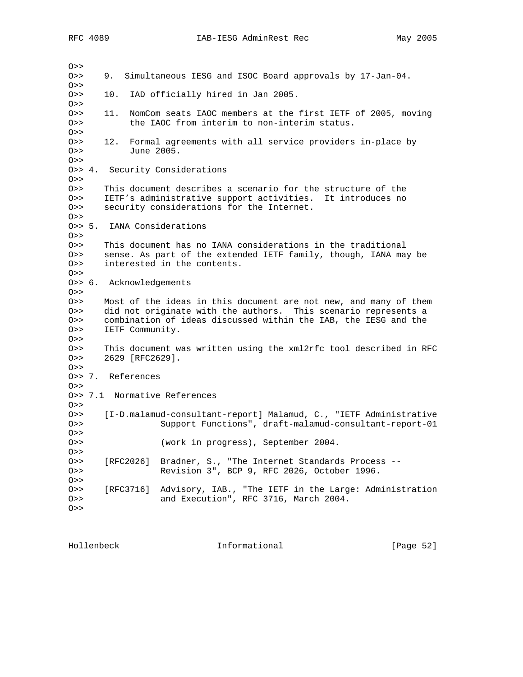$O>>$ O>> 9. Simultaneous IESG and ISOC Board approvals by 17-Jan-04.  $O>>$ O>> 10. IAD officially hired in Jan 2005.  $O>>$ O>> 11. NomCom seats IAOC members at the first IETF of 2005, moving O>> the IAOC from interim to non-interim status. O>> O>> 12. Formal agreements with all service providers in-place by O>> June 2005.  $O>>$ O>> 4. Security Considerations  $O>>$ O>> This document describes a scenario for the structure of the O>> IETF's administrative support activities. It introduces no O>> security considerations for the Internet.  $O>>$ O>> 5. IANA Considerations  $O>>$ O>> This document has no IANA considerations in the traditional O>> sense. As part of the extended IETF family, though, IANA may be O>> interested in the contents.  $O>>$ O>> 6. Acknowledgements  $O>>$ O>> Most of the ideas in this document are not new, and many of them O>> did not originate with the authors. This scenario represents a O>> combination of ideas discussed within the IAB, the IESG and the O>> IETF Community.  $0>$ O>> This document was written using the xml2rfc tool described in RFC O>> 2629 [RFC2629].  $O>>$ O>> 7. References  $O>>$ O>> 7.1 Normative References  $O>>$ O>> [I-D.malamud-consultant-report] Malamud, C., "IETF Administrative O>> Support Functions", draft-malamud-consultant-report-01  $O>$ O>> (work in progress), September 2004.  $O>$ O>> [RFC2026] Bradner, S., "The Internet Standards Process -- O>> Revision 3", BCP 9, RFC 2026, October 1996.  $O>>$ O>> [RFC3716] Advisory, IAB., "The IETF in the Large: Administration O>> and Execution", RFC 3716, March 2004.  $O>>$ 

Hollenbeck Informational [Page 52]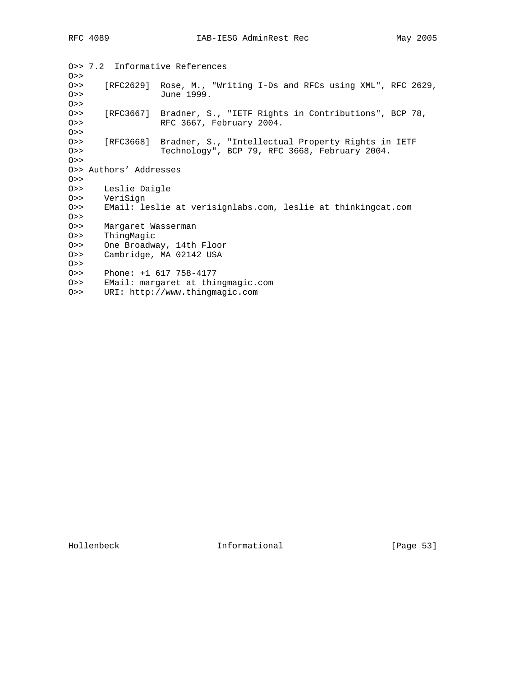O>> 7.2 Informative References O>> O>> [RFC2629] Rose, M., "Writing I-Ds and RFCs using XML", RFC 2629, O>> June 1999. O>> O>> [RFC3667] Bradner, S., "IETF Rights in Contributions", BCP 78, O>> RFC 3667, February 2004. O>> O>> [RFC3668] Bradner, S., "Intellectual Property Rights in IETF O>> Technology", BCP 79, RFC 3668, February 2004. O>> O>> Authors' Addresses  $O>>$ O>> Leslie Daigle O>> VeriSign O>> EMail: leslie at verisignlabs.com, leslie at thinkingcat.com O>> O>> Margaret Wasserman O>> ThingMagic O>> One Broadway, 14th Floor O>> Cambridge, MA 02142 USA O>> O>> Phone: +1 617 758-4177 O>> EMail: margaret at thingmagic.com O>> URI: http://www.thingmagic.com

Hollenbeck Informational [Page 53]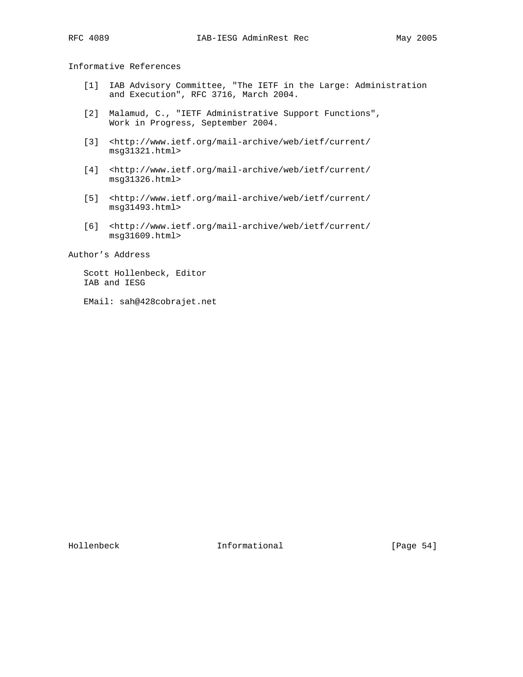Informative References

- [1] IAB Advisory Committee, "The IETF in the Large: Administration and Execution", RFC 3716, March 2004.
- [2] Malamud, C., "IETF Administrative Support Functions", Work in Progress, September 2004.
- [3] <http://www.ietf.org/mail-archive/web/ietf/current/ msg31321.html>
- [4] <http://www.ietf.org/mail-archive/web/ietf/current/ msg31326.html>
- [5] <http://www.ietf.org/mail-archive/web/ietf/current/ msg31493.html>
- [6] <http://www.ietf.org/mail-archive/web/ietf/current/ msg31609.html>

Author's Address

 Scott Hollenbeck, Editor IAB and IESG

EMail: sah@428cobrajet.net

Hollenbeck Informational [Page 54]